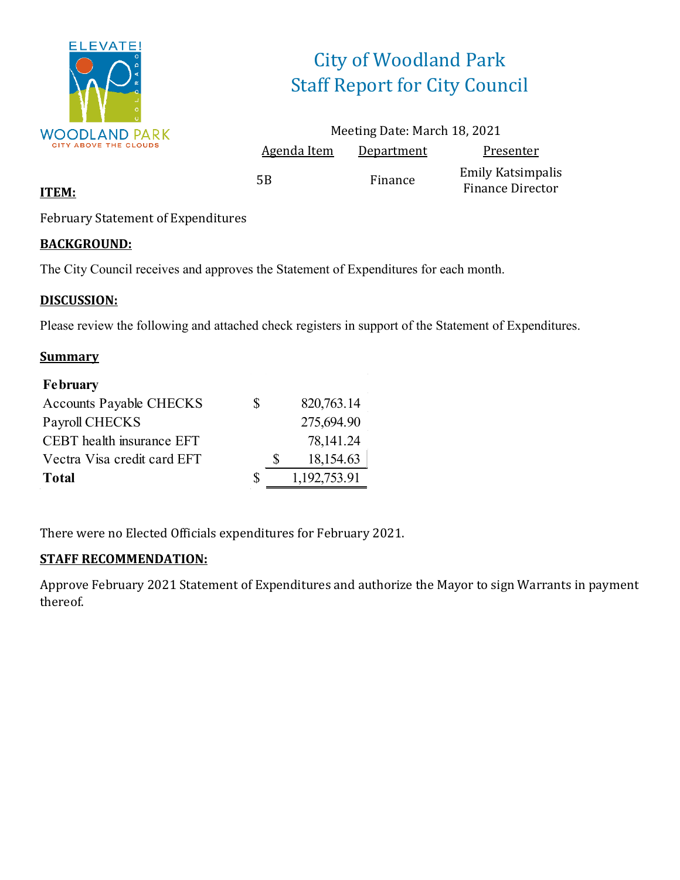

# City of Woodland Park Staff Report for City Council

|                    | Meeting Date: March 18, 2021 |                                              |
|--------------------|------------------------------|----------------------------------------------|
| <b>Agenda Item</b> | Department                   | Presenter                                    |
| 5B                 | Finance                      | <b>Emily Katsimpalis</b><br>Finance Director |

### **ITEM:**

February Statement of Expenditures

### **BACKGROUND:**

The City Council receives and approves the Statement of Expenditures for each month.

### **DISCUSSION:**

Please review the following and attached check registers in support of the Statement of Expenditures.

### **Summary**

| <b>February</b>                |   |              |
|--------------------------------|---|--------------|
| <b>Accounts Payable CHECKS</b> | S | 820,763.14   |
| Payroll CHECKS                 |   | 275,694.90   |
| CEBT health insurance EFT      |   | 78,141.24    |
| Vectra Visa credit card EFT    |   | 18,154.63    |
| <b>Total</b>                   | S | 1,192,753.91 |

There were no Elected Officials expenditures for February 2021.

## **STAFF RECOMMENDATION:**

Approve February 2021 Statement of Expenditures and authorize the Mayor to sign Warrants in payment thereof.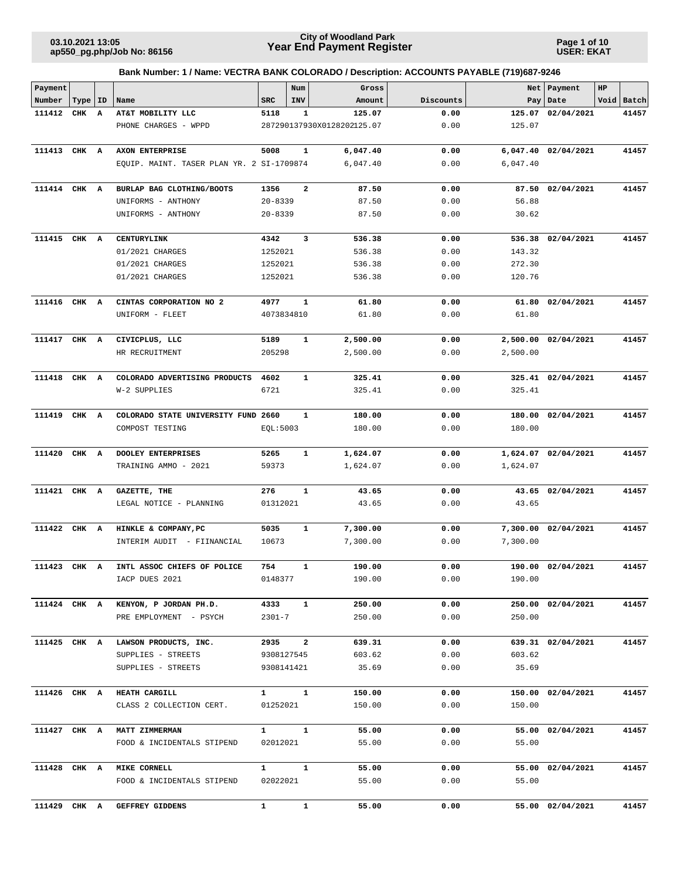**Page 1 of 10 USER: EKAT**

| Payment      |       |    |                                                    |                     | Num                     | Gross                      |              |                      | Net Payment         | $_{\rm HP}$ |            |
|--------------|-------|----|----------------------------------------------------|---------------------|-------------------------|----------------------------|--------------|----------------------|---------------------|-------------|------------|
| Number       | Type  | ID | Name                                               | <b>SRC</b>          | INV                     | Amount                     | Discounts    |                      | Pay   Date          |             | Void Batch |
| 111412       | CHK   | A  | AT&T MOBILITY LLC                                  | 5118                | 1                       | 125.07                     | 0.00         | 125.07               | 02/04/2021          |             | 41457      |
|              |       |    | PHONE CHARGES - WPPD                               |                     |                         | 287290137930X0128202125.07 | 0.00         | 125.07               |                     |             |            |
| 111413 CHK A |       |    | AXON ENTERPRISE                                    | 5008                | 1                       | 6,047.40                   | 0.00         | 6,047.40             | 02/04/2021          |             | 41457      |
|              |       |    | EQUIP. MAINT. TASER PLAN YR. 2 SI-1709874          |                     |                         | 6,047.40                   | 0.00         | 6,047.40             |                     |             |            |
|              |       |    |                                                    |                     |                         |                            |              |                      |                     |             |            |
| 111414 CHK A |       |    | BURLAP BAG CLOTHING/BOOTS                          | 1356<br>$20 - 8339$ | $\overline{\mathbf{2}}$ | 87.50                      | 0.00<br>0.00 | 87.50<br>56.88       | 02/04/2021          |             | 41457      |
|              |       |    | UNIFORMS - ANTHONY<br>UNIFORMS - ANTHONY           | $20 - 8339$         |                         | 87.50<br>87.50             | 0.00         | 30.62                |                     |             |            |
|              |       |    |                                                    |                     |                         |                            |              |                      |                     |             |            |
| 111415 CHK A |       |    | <b>CENTURYLINK</b>                                 | 4342                | 3                       | 536.38                     | 0.00         |                      | 536.38 02/04/2021   |             | 41457      |
|              |       |    | 01/2021 CHARGES                                    | 1252021             |                         | 536.38                     | 0.00         | 143.32               |                     |             |            |
|              |       |    | 01/2021 CHARGES                                    | 1252021             |                         | 536.38                     | 0.00         | 272.30               |                     |             |            |
|              |       |    | 01/2021 CHARGES                                    | 1252021             |                         | 536.38                     | 0.00         | 120.76               |                     |             |            |
| 111416 CHK A |       |    | CINTAS CORPORATION NO 2                            | 4977                | 1                       | 61.80                      | 0.00         | 61.80                | 02/04/2021          |             | 41457      |
|              |       |    | UNIFORM - FLEET                                    | 4073834810          |                         | 61.80                      | 0.00         | 61.80                |                     |             |            |
|              |       |    |                                                    |                     |                         |                            |              |                      |                     |             |            |
| 111417 CHK A |       |    | CIVICPLUS, LLC                                     | 5189                | 1                       | 2,500.00                   | 0.00         |                      | 2,500.00 02/04/2021 |             | 41457      |
|              |       |    | HR RECRUITMENT                                     | 205298              |                         | 2,500.00                   | 0.00         | 2,500.00             |                     |             |            |
| 111418       | CHK   | A  | COLORADO ADVERTISING PRODUCTS                      | 4602                | 1                       | 325.41                     | 0.00         |                      | 325.41 02/04/2021   |             | 41457      |
|              |       |    | W-2 SUPPLIES                                       | 6721                |                         | 325.41                     | 0.00         | 325.41               |                     |             |            |
|              |       |    |                                                    |                     |                         |                            |              |                      |                     |             |            |
| 111419       | CHK A |    | COLORADO STATE UNIVERSITY FUND 2660                |                     | $\mathbf{1}$            | 180.00                     | 0.00         | 180.00               | 02/04/2021          |             | 41457      |
|              |       |    | COMPOST TESTING                                    | EQL:5003            |                         | 180.00                     | 0.00         | 180.00               |                     |             |            |
|              |       |    |                                                    |                     |                         |                            |              |                      |                     |             |            |
| 111420       | CHK A |    | DOOLEY ENTERPRISES                                 | 5265                | $\mathbf{1}$            | 1,624.07                   | 0.00         |                      | 1,624.07 02/04/2021 |             | 41457      |
|              |       |    | TRAINING AMMO - 2021                               | 59373               |                         | 1,624.07                   | 0.00         | 1,624.07             |                     |             |            |
| 111421       | CHK   | A  | GAZETTE, THE                                       | 276                 | 1                       | 43.65                      | 0.00         |                      | 43.65 02/04/2021    |             | 41457      |
|              |       |    | LEGAL NOTICE - PLANNING                            | 01312021            |                         | 43.65                      | 0.00         | 43.65                |                     |             |            |
|              |       |    |                                                    |                     | $\mathbf{1}$            |                            |              |                      |                     |             |            |
| 111422       | CHK A |    | HINKLE & COMPANY, PC<br>INTERIM AUDIT - FIINANCIAL | 5035<br>10673       |                         | 7,300.00<br>7,300.00       | 0.00<br>0.00 | 7,300.00<br>7,300.00 | 02/04/2021          |             | 41457      |
|              |       |    |                                                    |                     |                         |                            |              |                      |                     |             |            |
| 111423 CHK A |       |    | INTL ASSOC CHIEFS OF POLICE                        | 754                 | $\mathbf{1}$            | 190.00                     | 0.00         |                      | 190.00 02/04/2021   |             | 41457      |
|              |       |    | IACP DUES 2021                                     | 0148377             |                         | 190.00                     | 0.00         | 190.00               |                     |             |            |
| 111424 CHK A |       |    | KENYON, P JORDAN PH.D.                             | 4333                | $\mathbf{1}$            | 250.00                     | 0.00         |                      | 250.00 02/04/2021   |             | 41457      |
|              |       |    | PRE EMPLOYMENT - PSYCH                             | $2301 - 7$          |                         | 250.00                     | 0.00         | 250.00               |                     |             |            |
|              |       |    |                                                    |                     |                         |                            |              |                      |                     |             |            |
| 111425 CHK A |       |    | LAWSON PRODUCTS, INC.                              | 2935                | $\overline{a}$          | 639.31                     | 0.00         |                      | 639.31 02/04/2021   |             | 41457      |
|              |       |    | SUPPLIES - STREETS                                 | 9308127545          |                         | 603.62                     | 0.00         | 603.62               |                     |             |            |
|              |       |    | SUPPLIES - STREETS                                 | 9308141421          |                         | 35.69                      | 0.00         | 35.69                |                     |             |            |
|              |       |    |                                                    |                     |                         |                            |              |                      |                     |             |            |
| 111426 CHK A |       |    | <b>HEATH CARGILL</b>                               | $\mathbf{1}$        | $\mathbf{1}$            | 150.00                     | 0.00         |                      | 150.00 02/04/2021   |             | 41457      |
|              |       |    | CLASS 2 COLLECTION CERT.                           | 01252021            |                         | 150.00                     | 0.00         | 150.00               |                     |             |            |
| 111427 CHK A |       |    | <b>MATT ZIMMERMAN</b>                              | $\mathbf{1}$        | $\mathbf{1}$            | 55.00                      | 0.00         |                      | 55.00 02/04/2021    |             | 41457      |
|              |       |    | FOOD & INCIDENTALS STIPEND                         | 02012021            |                         | 55.00                      | 0.00         | 55.00                |                     |             |            |
|              |       |    |                                                    |                     |                         |                            |              |                      |                     |             |            |
| 111428 CHK A |       |    | <b>MIKE CORNELL</b>                                | $\mathbf{1}$        | $\mathbf{1}$            | 55.00                      | 0.00         |                      | 55.00 02/04/2021    |             | 41457      |
|              |       |    | FOOD & INCIDENTALS STIPEND                         | 02022021            |                         | 55.00                      | 0.00         | 55.00                |                     |             |            |
| 111429 CHK A |       |    | GEFFREY GIDDENS                                    | $\mathbf{1}$        | $\mathbf{1}$            | 55.00                      | 0.00         |                      | 55.00 02/04/2021    |             | 41457      |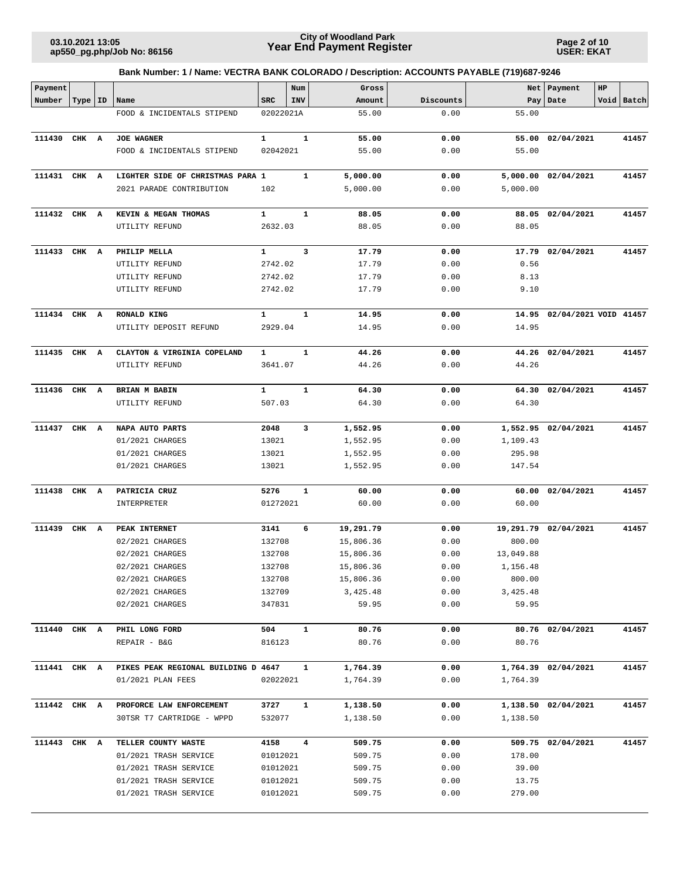**Page 2 of 10 USER: EKAT**

| Payment      |           |                                     |              | Num            | Gross     |           |           | Net   Payment               | HP |            |
|--------------|-----------|-------------------------------------|--------------|----------------|-----------|-----------|-----------|-----------------------------|----|------------|
| Number       | Type   ID | Name                                | <b>SRC</b>   | INV            | Amount    | Discounts |           | Pay Date                    |    | Void Batch |
|              |           | FOOD & INCIDENTALS STIPEND          | 02022021A    |                | 55.00     | 0.00      | 55.00     |                             |    |            |
| 111430       | CHK A     | <b>JOE WAGNER</b>                   | $\mathbf{1}$ | $\mathbf{1}$   | 55.00     | 0.00      | 55.00     | 02/04/2021                  |    | 41457      |
|              |           | FOOD & INCIDENTALS STIPEND          | 02042021     |                | 55.00     | 0.00      | 55.00     |                             |    |            |
| 111431 CHK A |           | LIGHTER SIDE OF CHRISTMAS PARA 1    |              | $\mathbf{1}$   | 5,000.00  | 0.00      |           | 5,000.00 02/04/2021         |    | 41457      |
|              |           | 2021 PARADE CONTRIBUTION            | 102          |                | 5,000.00  | 0.00      | 5,000.00  |                             |    |            |
| 111432 CHK A |           | KEVIN & MEGAN THOMAS                | 1            | 1              | 88.05     | 0.00      |           | 88.05 02/04/2021            |    | 41457      |
|              |           | UTILITY REFUND                      | 2632.03      |                | 88.05     | 0.00      | 88.05     |                             |    |            |
| 111433 CHK A |           | PHILIP MELLA                        | $\mathbf{1}$ | 3              | 17.79     | 0.00      |           | 17.79 02/04/2021            |    | 41457      |
|              |           | UTILITY REFUND                      | 2742.02      |                | 17.79     | 0.00      | 0.56      |                             |    |            |
|              |           | UTILITY REFUND                      | 2742.02      |                | 17.79     | 0.00      | 8.13      |                             |    |            |
|              |           | UTILITY REFUND                      | 2742.02      |                | 17.79     | 0.00      | 9.10      |                             |    |            |
| 111434 CHK A |           | <b>RONALD KING</b>                  | $\mathbf{1}$ | $\mathbf{1}$   | 14.95     | 0.00      |           | 14.95 02/04/2021 VOID 41457 |    |            |
|              |           | UTILITY DEPOSIT REFUND              | 2929.04      |                | 14.95     | 0.00      | 14.95     |                             |    |            |
| 111435 CHK A |           | CLAYTON & VIRGINIA COPELAND         | $\mathbf{1}$ | $\mathbf{1}$   | 44.26     | 0.00      |           | 44.26 02/04/2021            |    | 41457      |
|              |           | UTILITY REFUND                      | 3641.07      |                | 44.26     | 0.00      | 44.26     |                             |    |            |
| 111436 CHK A |           | <b>BRIAN M BABIN</b>                | $\mathbf{1}$ | $\mathbf{1}$   | 64.30     | 0.00      |           | 64.30 02/04/2021            |    | 41457      |
|              |           | UTILITY REFUND                      | 507.03       |                | 64.30     | 0.00      | 64.30     |                             |    |            |
| 111437 CHK A |           | NAPA AUTO PARTS                     | 2048         | 3              | 1,552.95  | 0.00      |           | 1,552.95 02/04/2021         |    | 41457      |
|              |           | 01/2021 CHARGES                     | 13021        |                | 1,552.95  | 0.00      | 1,109.43  |                             |    |            |
|              |           | 01/2021 CHARGES                     | 13021        |                | 1,552.95  | 0.00      | 295.98    |                             |    |            |
|              |           | 01/2021 CHARGES                     | 13021        |                | 1,552.95  | 0.00      | 147.54    |                             |    |            |
| 111438       | CHK A     | PATRICIA CRUZ                       | 5276         | $\mathbf{1}$   | 60.00     | 0.00      |           | 60.00 02/04/2021            |    | 41457      |
|              |           | INTERPRETER                         | 01272021     |                | 60.00     | 0.00      | 60.00     |                             |    |            |
| 111439 CHK A |           | PEAK INTERNET                       | 3141         | 6              | 19,291.79 | 0.00      |           | 19,291.79 02/04/2021        |    | 41457      |
|              |           | 02/2021 CHARGES                     | 132708       |                | 15,806.36 | 0.00      | 800.00    |                             |    |            |
|              |           | 02/2021 CHARGES                     | 132708       |                | 15,806.36 | 0.00      | 13,049.88 |                             |    |            |
|              |           | 02/2021 CHARGES                     | 132708       |                | 15,806.36 | 0.00      | 1,156.48  |                             |    |            |
|              |           | 02/2021 CHARGES                     | 132708       |                | 15,806.36 | 0.00      | 800.00    |                             |    |            |
|              |           | 02/2021 CHARGES                     | 132709       |                | 3,425.48  | 0.00      | 3,425.48  |                             |    |            |
|              |           | 02/2021 CHARGES                     | 347831       |                | 59.95     | 0.00      | 59.95     |                             |    |            |
| 111440 CHK A |           | PHIL LONG FORD                      | 504          | $\mathbf{1}$   | 80.76     | 0.00      |           | 80.76 02/04/2021            |    | 41457      |
|              |           | REPAIR - B&G                        | 816123       |                | 80.76     | 0.00      | 80.76     |                             |    |            |
| 111441 CHK A |           | PIKES PEAK REGIONAL BUILDING D 4647 |              | $\mathbf{1}$   | 1,764.39  | 0.00      |           | 1,764.39 02/04/2021         |    | 41457      |
|              |           | 01/2021 PLAN FEES                   | 02022021     |                | 1,764.39  | 0.00      | 1,764.39  |                             |    |            |
| 111442 CHK A |           | PROFORCE LAW ENFORCEMENT            | 3727         | $\mathbf{1}$   | 1,138.50  | 0.00      |           | 1,138.50 02/04/2021         |    | 41457      |
|              |           | 30TSR T7 CARTRIDGE - WPPD           | 532077       |                | 1,138.50  | 0.00      | 1,138.50  |                             |    |            |
| 111443 CHK A |           | TELLER COUNTY WASTE                 | 4158         | $\overline{4}$ | 509.75    | 0.00      |           | 509.75 02/04/2021           |    | 41457      |
|              |           | 01/2021 TRASH SERVICE               | 01012021     |                | 509.75    | 0.00      | 178.00    |                             |    |            |
|              |           | 01/2021 TRASH SERVICE               | 01012021     |                | 509.75    | 0.00      | 39.00     |                             |    |            |
|              |           | 01/2021 TRASH SERVICE               | 01012021     |                | 509.75    | 0.00      | 13.75     |                             |    |            |
|              |           | 01/2021 TRASH SERVICE               | 01012021     |                | 509.75    | 0.00      | 279.00    |                             |    |            |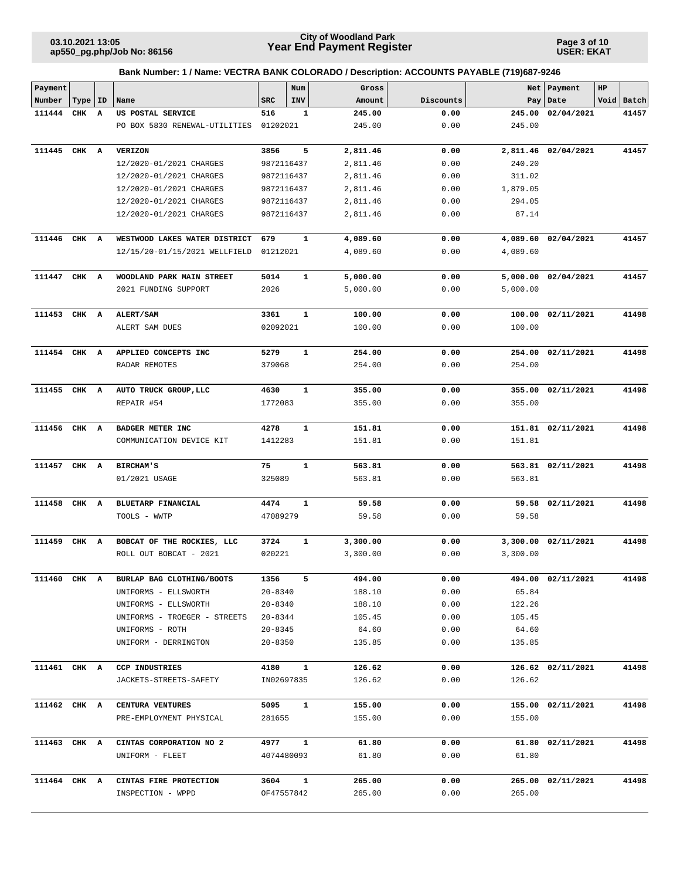**Page 3 of 10 USER: EKAT**

| Payment      |           |   |                               |             | Num          | Gross    |           |          | Net   Payment       | HP |            |
|--------------|-----------|---|-------------------------------|-------------|--------------|----------|-----------|----------|---------------------|----|------------|
| Number       | Type   ID |   | Name                          | <b>SRC</b>  | INV          | Amount   | Discounts |          | Pay Date            |    | Void Batch |
| 111444       | CHK       | A | US POSTAL SERVICE             | 516         | 1            | 245.00   | 0.00      | 245.00   | 02/04/2021          |    | 41457      |
|              |           |   | PO BOX 5830 RENEWAL-UTILITIES | 01202021    |              | 245.00   | 0.00      | 245.00   |                     |    |            |
| 111445       | CHK       | A | <b>VERIZON</b>                | 3856        | 5            | 2,811.46 | 0.00      | 2,811.46 | 02/04/2021          |    | 41457      |
|              |           |   | 12/2020-01/2021 CHARGES       | 9872116437  |              | 2,811.46 | 0.00      | 240.20   |                     |    |            |
|              |           |   | 12/2020-01/2021 CHARGES       | 9872116437  |              | 2,811.46 | 0.00      | 311.02   |                     |    |            |
|              |           |   | 12/2020-01/2021 CHARGES       | 9872116437  |              | 2,811.46 | 0.00      | 1,879.05 |                     |    |            |
|              |           |   | 12/2020-01/2021 CHARGES       | 9872116437  |              | 2,811.46 | 0.00      | 294.05   |                     |    |            |
|              |           |   | 12/2020-01/2021 CHARGES       | 9872116437  |              | 2,811.46 | 0.00      | 87.14    |                     |    |            |
| 111446       | CHK A     |   | WESTWOOD LAKES WATER DISTRICT | 679         | 1            | 4,089.60 | 0.00      |          | 4,089.60 02/04/2021 |    | 41457      |
|              |           |   | 12/15/20-01/15/2021 WELLFIELD | 01212021    |              | 4,089.60 | 0.00      | 4,089.60 |                     |    |            |
| 111447       | CHK A     |   | WOODLAND PARK MAIN STREET     | 5014        | $\mathbf{1}$ | 5,000.00 | 0.00      |          | 5,000.00 02/04/2021 |    | 41457      |
|              |           |   | 2021 FUNDING SUPPORT          | 2026        |              | 5,000.00 | 0.00      | 5,000.00 |                     |    |            |
| 111453 CHK A |           |   | ALERT/SAM                     | 3361        | 1            | 100.00   | 0.00      |          | 100.00 02/11/2021   |    | 41498      |
|              |           |   | ALERT SAM DUES                | 02092021    |              | 100.00   | 0.00      | 100.00   |                     |    |            |
| 111454 CHK A |           |   | APPLIED CONCEPTS INC          | 5279        | $\mathbf{1}$ | 254.00   | 0.00      | 254.00   | 02/11/2021          |    | 41498      |
|              |           |   | RADAR REMOTES                 | 379068      |              | 254.00   | 0.00      | 254.00   |                     |    |            |
| 111455 CHK A |           |   | AUTO TRUCK GROUP, LLC         | 4630        | $\mathbf{1}$ | 355.00   | 0.00      | 355.00   | 02/11/2021          |    | 41498      |
|              |           |   | REPAIR #54                    | 1772083     |              | 355.00   | 0.00      | 355.00   |                     |    |            |
| 111456       | CHK A     |   | BADGER METER INC              | 4278        | $\mathbf{1}$ | 151.81   | 0.00      |          | 151.81 02/11/2021   |    | 41498      |
|              |           |   | COMMUNICATION DEVICE KIT      | 1412283     |              | 151.81   | 0.00      | 151.81   |                     |    |            |
| 111457       | CHK A     |   | <b>BIRCHAM'S</b>              | 75          | $\mathbf{1}$ | 563.81   | 0.00      |          | 563.81 02/11/2021   |    | 41498      |
|              |           |   | 01/2021 USAGE                 | 325089      |              | 563.81   | 0.00      | 563.81   |                     |    |            |
| 111458       | CHK A     |   | BLUETARP FINANCIAL            | 4474        | $\mathbf{1}$ | 59.58    | 0.00      |          | 59.58 02/11/2021    |    | 41498      |
|              |           |   | TOOLS - WWTP                  | 47089279    |              | 59.58    | 0.00      | 59.58    |                     |    |            |
| 111459       | CHK A     |   | BOBCAT OF THE ROCKIES, LLC    | 3724        | 1            | 3,300.00 | 0.00      |          | 3,300.00 02/11/2021 |    | 41498      |
|              |           |   | ROLL OUT BOBCAT - 2021        | 020221      |              | 3,300.00 | 0.00      | 3,300.00 |                     |    |            |
| 111460 CHK A |           |   | BURLAP BAG CLOTHING/BOOTS     | 1356        | 5            | 494.00   | 0.00      |          | 494.00 02/11/2021   |    | 41498      |
|              |           |   | UNIFORMS - ELLSWORTH          | $20 - 8340$ |              | 188.10   | 0.00      | 65.84    |                     |    |            |
|              |           |   | UNIFORMS - ELLSWORTH          | $20 - 8340$ |              | 188.10   | 0.00      | 122.26   |                     |    |            |
|              |           |   | UNIFORMS - TROEGER - STREETS  | 20-8344     |              | 105.45   | 0.00      | 105.45   |                     |    |            |
|              |           |   | UNIFORMS - ROTH               | $20 - 8345$ |              | 64.60    | 0.00      | 64.60    |                     |    |            |
|              |           |   | UNIFORM - DERRINGTON          | $20 - 8350$ |              | 135.85   | 0.00      | 135.85   |                     |    |            |
| 111461 CHK A |           |   | CCP INDUSTRIES                | 4180        | $\mathbf{1}$ | 126.62   | 0.00      |          | 126.62 02/11/2021   |    | 41498      |
|              |           |   | JACKETS-STREETS-SAFETY        | IN02697835  |              | 126.62   | 0.00      | 126.62   |                     |    |            |
| 111462 CHK A |           |   | CENTURA VENTURES              | 5095        | $\mathbf{1}$ | 155.00   | 0.00      |          | 155.00 02/11/2021   |    | 41498      |
|              |           |   | PRE-EMPLOYMENT PHYSICAL       | 281655      |              | 155.00   | 0.00      | 155.00   |                     |    |            |
| 111463 CHK A |           |   | CINTAS CORPORATION NO 2       | 4977        | $\mathbf{1}$ | 61.80    | 0.00      |          | 61.80 02/11/2021    |    | 41498      |
|              |           |   | UNIFORM - FLEET               | 4074480093  |              | 61.80    | 0.00      | 61.80    |                     |    |            |
| 111464 CHK A |           |   | CINTAS FIRE PROTECTION        | 3604        | $\mathbf{1}$ | 265.00   | 0.00      |          | 265.00 02/11/2021   |    | 41498      |
|              |           |   | INSPECTION - WPPD             | OF47557842  |              | 265.00   | 0.00      | 265.00   |                     |    |            |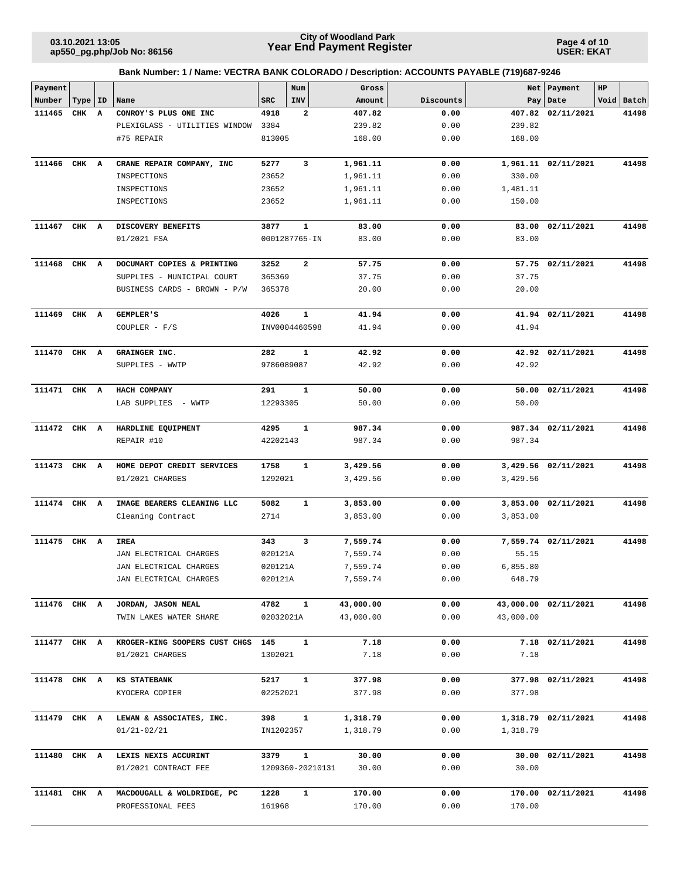**Page 4 of 10 USER: EKAT**

| Payment      |       |              |                               |                  | Num           | Gross                     |              |           | Net   Payment        | HP |            |
|--------------|-------|--------------|-------------------------------|------------------|---------------|---------------------------|--------------|-----------|----------------------|----|------------|
| Number       | Type  | ID           | Name                          | <b>SRC</b>       | INV           | Amount                    | Discounts    |           | Pay   Date           |    | Void Batch |
| 111465       | CHK   | $\mathbf{A}$ | CONROY'S PLUS ONE INC         | 4918             | 2             | 407.82                    | 0.00         | 407.82    | 02/11/2021           |    | 41498      |
|              |       |              | PLEXIGLASS - UTILITIES WINDOW | 3384             |               | 239.82                    | 0.00         | 239.82    |                      |    |            |
|              |       |              | #75 REPAIR                    | 813005           |               | 168.00                    | 0.00         | 168.00    |                      |    |            |
|              |       |              |                               |                  |               |                           |              |           |                      |    |            |
| 111466       | CHK A |              | CRANE REPAIR COMPANY, INC     | 5277             | 3             | 1,961.11                  | 0.00         |           | 1,961.11 02/11/2021  |    | 41498      |
|              |       |              | INSPECTIONS                   | 23652            |               | 1,961.11                  | 0.00         | 330.00    |                      |    |            |
|              |       |              | INSPECTIONS                   | 23652            |               | 1,961.11                  | 0.00         | 1,481.11  |                      |    |            |
|              |       |              | INSPECTIONS                   | 23652            |               | 1,961.11                  | 0.00         | 150.00    |                      |    |            |
| 111467 CHK A |       |              | DISCOVERY BENEFITS            | 3877             | 1             | 83.00                     | 0.00         |           | 83.00 02/11/2021     |    | 41498      |
|              |       |              | 01/2021 FSA                   |                  | 0001287765-IN | 83.00                     | 0.00         | 83.00     |                      |    |            |
| 111468       | CHK A |              | DOCUMART COPIES & PRINTING    | 3252             | 2             | 57.75                     | 0.00         |           | 57.75 02/11/2021     |    | 41498      |
|              |       |              | SUPPLIES - MUNICIPAL COURT    | 365369           |               | 37.75                     | 0.00         | 37.75     |                      |    |            |
|              |       |              | BUSINESS CARDS - BROWN - P/W  | 365378           |               | 20.00                     | 0.00         | 20.00     |                      |    |            |
|              |       |              |                               |                  |               |                           |              |           |                      |    |            |
| 111469 CHK A |       |              | GEMPLER'S                     | 4026             | 1             | 41.94                     | 0.00         |           | 41.94 02/11/2021     |    | 41498      |
|              |       |              | COUPLER - $F/S$               |                  | INV0004460598 | 41.94                     | 0.00         | 41.94     |                      |    |            |
| 111470 CHK A |       |              | GRAINGER INC.                 | 282              | 1             | 42.92                     | 0.00         |           | 42.92 02/11/2021     |    | 41498      |
|              |       |              | SUPPLIES - WWTP               | 9786089087       |               | 42.92                     | 0.00         | 42.92     |                      |    |            |
|              |       |              |                               |                  |               |                           |              |           |                      |    |            |
| 111471 CHK A |       |              | HACH COMPANY                  | 291              | $\mathbf 1$   | 50.00                     | 0.00         |           | 50.00 02/11/2021     |    | 41498      |
|              |       |              | LAB SUPPLIES - WWTP           | 12293305         |               | 50.00                     | 0.00         | 50.00     |                      |    |            |
|              |       |              |                               |                  |               |                           |              |           |                      |    | 41498      |
| 111472 CHK A |       |              | HARDLINE EQUIPMENT            | 4295<br>42202143 | 1             | 987.34                    | 0.00<br>0.00 |           | 987.34 02/11/2021    |    |            |
|              |       |              | REPAIR #10                    |                  |               | 987.34                    |              | 987.34    |                      |    |            |
| 111473 CHK A |       |              | HOME DEPOT CREDIT SERVICES    | 1758             | 1             | 3,429.56                  | 0.00         |           | 3,429.56 02/11/2021  |    | 41498      |
|              |       |              | 01/2021 CHARGES               | 1292021          |               | 3,429.56                  | 0.00         | 3,429.56  |                      |    |            |
|              |       |              |                               |                  |               |                           |              |           |                      |    |            |
| 111474 CHK A |       |              | IMAGE BEARERS CLEANING LLC    | 5082             | $\mathbf 1$   | 3,853.00                  | 0.00         |           | 3,853.00 02/11/2021  |    | 41498      |
|              |       |              | Cleaning Contract             | 2714             |               | 3,853.00                  | 0.00         | 3,853.00  |                      |    |            |
| 111475 CHK A |       |              | IREA                          | 343              | 3             | 7,559.74                  | 0.00         |           | 7,559.74 02/11/2021  |    | 41498      |
|              |       |              | JAN ELECTRICAL CHARGES        | 020121A          |               | 7,559.74                  | 0.00         | 55.15     |                      |    |            |
|              |       |              | JAN ELECTRICAL CHARGES        | 020121A          |               | 7,559.74                  | 0.00         | 6,855.80  |                      |    |            |
|              |       |              | JAN ELECTRICAL CHARGES        | 020121A          |               | 7,559.74                  | 0.00         | 648.79    |                      |    |            |
|              |       |              |                               |                  |               |                           |              |           |                      |    |            |
| 111476 CHK A |       |              | JORDAN, JASON NEAL            | 4782             | $\mathbf{1}$  | 43,000.00                 | 0.00         |           | 43,000.00 02/11/2021 |    | 41498      |
|              |       |              | TWIN LAKES WATER SHARE        | 02032021A        |               | 43,000.00                 | 0.00         | 43,000.00 |                      |    |            |
| 111477 CHK A |       |              | KROGER-KING SOOPERS CUST CHGS | 145              | $\mathbf{1}$  | 7.18                      | 0.00         |           | 7.18 02/11/2021      |    | 41498      |
|              |       |              | 01/2021 CHARGES               | 1302021          |               | 7.18                      | 0.00         | 7.18      |                      |    |            |
|              |       |              |                               |                  |               |                           |              |           |                      |    |            |
| 111478 CHK A |       |              | KS STATEBANK                  | 5217             | $\mathbf{1}$  | 377.98                    | 0.00         |           | 377.98 02/11/2021    |    | 41498      |
|              |       |              | KYOCERA COPIER                | 02252021         |               | 377.98                    | 0.00         | 377.98    |                      |    |            |
| 111479 CHK A |       |              | LEWAN & ASSOCIATES, INC.      | 398              | $\mathbf{1}$  | 1,318.79                  | 0.00         |           | 1,318.79 02/11/2021  |    | 41498      |
|              |       |              | $01/21 - 02/21$               | IN1202357        |               | 1,318.79                  | 0.00         | 1,318.79  |                      |    |            |
|              |       |              |                               |                  |               |                           |              |           |                      |    |            |
| 111480 CHK A |       |              | LEXIS NEXIS ACCURINT          | 3379             | $\mathbf{1}$  | 30.00                     | 0.00         |           | 30.00 02/11/2021     |    | 41498      |
|              |       |              | 01/2021 CONTRACT FEE          |                  |               | 30.00<br>1209360-20210131 | 0.00         | 30.00     |                      |    |            |
| 111481 CHK A |       |              | MACDOUGALL & WOLDRIDGE, PC    | 1228             | $\mathbf{1}$  | 170.00                    | 0.00         |           | 170.00 02/11/2021    |    | 41498      |
|              |       |              | PROFESSIONAL FEES             | 161968           |               | 170.00                    | 0.00         | 170.00    |                      |    |            |
|              |       |              |                               |                  |               |                           |              |           |                      |    |            |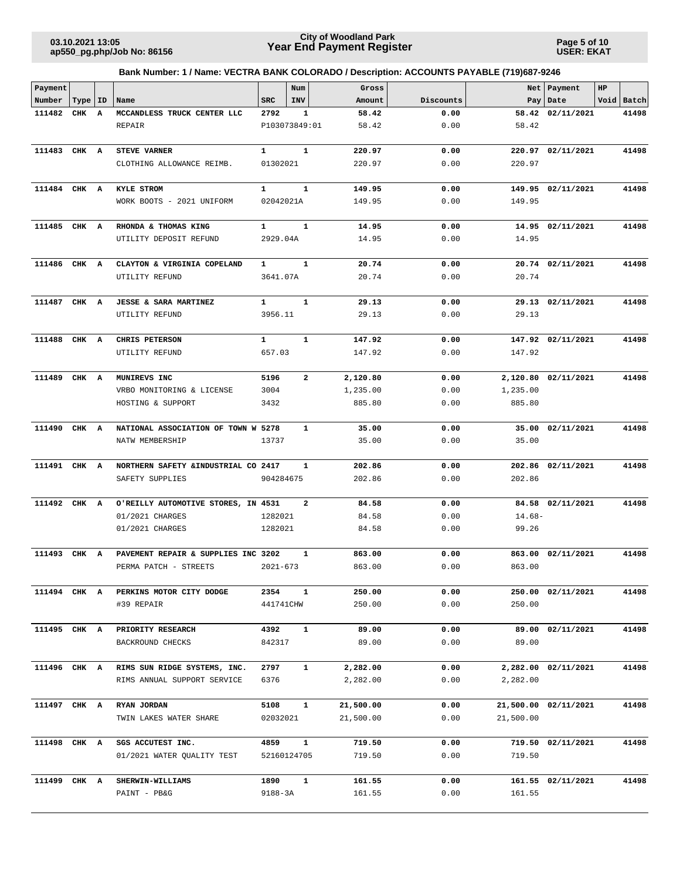**Page 5 of 10 USER: EKAT**

| Payment      |           |                         |                                                 |                        | Num            | Gross            |              |           | Net   Payment        | HP |            |
|--------------|-----------|-------------------------|-------------------------------------------------|------------------------|----------------|------------------|--------------|-----------|----------------------|----|------------|
| Number       | Type   ID |                         | Name                                            | <b>SRC</b>             | INV            | Amount           | Discounts    |           | Pay   Date           |    | Void Batch |
| 111482       | CHK       | $\overline{\mathbf{A}}$ | MCCANDLESS TRUCK CENTER LLC                     | 2792                   | 1              | 58.42            | 0.00         |           | 58.42 02/11/2021     |    | 41498      |
|              |           |                         | <b>REPAIR</b>                                   | P103073849:01          |                | 58.42            | 0.00         | 58.42     |                      |    |            |
| 111483       | CHK A     |                         | <b>STEVE VARNER</b>                             | $\mathbf{1}$           | $\mathbf{1}$   | 220.97           | 0.00         | 220.97    | 02/11/2021           |    | 41498      |
|              |           |                         | CLOTHING ALLOWANCE REIMB.                       | 01302021               |                | 220.97           | 0.00         | 220.97    |                      |    |            |
|              |           |                         |                                                 |                        |                |                  |              |           |                      |    |            |
| 111484 CHK A |           |                         | KYLE STROM                                      | $\mathbf{1}$           | $\mathbf{1}$   | 149.95           | 0.00         |           | 149.95 02/11/2021    |    | 41498      |
|              |           |                         | WORK BOOTS - 2021 UNIFORM                       | 02042021A              |                | 149.95           | 0.00         | 149.95    |                      |    |            |
|              |           |                         |                                                 |                        |                |                  |              |           |                      |    |            |
| 111485 CHK A |           |                         | RHONDA & THOMAS KING                            | 1                      | $\mathbf{1}$   | 14.95            | 0.00         |           | 14.95 02/11/2021     |    | 41498      |
|              |           |                         | UTILITY DEPOSIT REFUND                          | 2929.04A               |                | 14.95            | 0.00         | 14.95     |                      |    |            |
| 111486 CHK A |           |                         | CLAYTON & VIRGINIA COPELAND                     | 1                      | $\mathbf{1}$   | 20.74            | 0.00         |           | 20.74 02/11/2021     |    | 41498      |
|              |           |                         | UTILITY REFUND                                  | 3641.07A               |                | 20.74            | 0.00         | 20.74     |                      |    |            |
|              |           |                         |                                                 |                        |                |                  |              |           |                      |    |            |
| 111487       | CHK A     |                         | <b>JESSE &amp; SARA MARTINEZ</b>                | $\mathbf{1}$           | $\mathbf{1}$   | 29.13            | 0.00         |           | 29.13 02/11/2021     |    | 41498      |
|              |           |                         | UTILITY REFUND                                  | 3956.11                |                | 29.13            | 0.00         | 29.13     |                      |    |            |
|              |           |                         |                                                 |                        |                |                  |              |           |                      |    |            |
| 111488       | CHK A     |                         | CHRIS PETERSON<br>UTILITY REFUND                | $\mathbf{1}$<br>657.03 | $\mathbf{1}$   | 147.92<br>147.92 | 0.00<br>0.00 | 147.92    | 147.92 02/11/2021    |    | 41498      |
|              |           |                         |                                                 |                        |                |                  |              |           |                      |    |            |
| 111489       | CHK A     |                         | MUNIREVS INC                                    | 5196                   | $\overline{a}$ | 2,120.80         | 0.00         |           | 2,120.80 02/11/2021  |    | 41498      |
|              |           |                         | VRBO MONITORING & LICENSE                       | 3004                   |                | 1,235.00         | 0.00         | 1,235.00  |                      |    |            |
|              |           |                         | HOSTING & SUPPORT                               | 3432                   |                | 885.80           | 0.00         | 885.80    |                      |    |            |
|              |           |                         |                                                 |                        |                |                  |              |           |                      |    |            |
| 111490       | CHK A     |                         | NATIONAL ASSOCIATION OF TOWN W 5278             |                        | $\mathbf{1}$   | 35.00            | 0.00         | 35.00     | 02/11/2021           |    | 41498      |
|              |           |                         | NATW MEMBERSHIP                                 | 13737                  |                | 35.00            | 0.00         | 35.00     |                      |    |            |
| 111491       | CHK A     |                         | NORTHERN SAFETY & INDUSTRIAL CO 2417            |                        | 1              | 202.86           | 0.00         |           | 202.86 02/11/2021    |    | 41498      |
|              |           |                         | SAFETY SUPPLIES                                 | 904284675              |                | 202.86           | 0.00         | 202.86    |                      |    |            |
|              |           |                         |                                                 |                        |                |                  |              |           |                      |    |            |
| 111492       | CHK A     |                         | O'REILLY AUTOMOTIVE STORES, IN 4531             |                        | $\overline{a}$ | 84.58            | 0.00         |           | 84.58 02/11/2021     |    | 41498      |
|              |           |                         | 01/2021 CHARGES                                 | 1282021                |                | 84.58            | 0.00         | $14.68-$  |                      |    |            |
|              |           |                         | 01/2021 CHARGES                                 | 1282021                |                | 84.58            | 0.00         | 99.26     |                      |    |            |
| 111493       | CHK A     |                         | PAVEMENT REPAIR & SUPPLIES INC 3202             |                        | 1              | 863.00           | 0.00         | 863.00    | 02/11/2021           |    | 41498      |
|              |           |                         | PERMA PATCH - STREETS                           | $2021 - 673$           |                | 863.00           | 0.00         | 863.00    |                      |    |            |
|              |           |                         |                                                 |                        |                |                  |              |           |                      |    |            |
| 111494 CHK A |           |                         | PERKINS MOTOR CITY DODGE                        | 2354                   | $\mathbf{1}$   | 250.00           | 0.00         |           | 250.00 02/11/2021    |    | 41498      |
|              |           |                         | #39 REPAIR                                      | 441741CHW              |                | 250.00           | 0.00         | 250.00    |                      |    |            |
|              |           |                         |                                                 |                        |                |                  |              |           |                      |    |            |
| 111495 CHK A |           |                         | PRIORITY RESEARCH<br>BACKROUND CHECKS           | 4392<br>842317         | $\mathbf{1}$   | 89.00<br>89.00   | 0.00<br>0.00 | 89.00     | 89.00 02/11/2021     |    | 41498      |
|              |           |                         |                                                 |                        |                |                  |              |           |                      |    |            |
| 111496 CHK A |           |                         | RIMS SUN RIDGE SYSTEMS, INC.                    | 2797                   | $\mathbf{1}$   | 2,282.00         | 0.00         |           | 2,282.00 02/11/2021  |    | 41498      |
|              |           |                         | RIMS ANNUAL SUPPORT SERVICE                     | 6376                   |                | 2,282.00         | 0.00         | 2,282.00  |                      |    |            |
|              |           |                         |                                                 |                        |                |                  |              |           |                      |    |            |
| 111497 CHK A |           |                         | RYAN JORDAN                                     | 5108                   | $\mathbf{1}$   | 21,500.00        | 0.00         |           | 21,500.00 02/11/2021 |    | 41498      |
|              |           |                         | TWIN LAKES WATER SHARE                          | 02032021               |                | 21,500.00        | 0.00         | 21,500.00 |                      |    |            |
|              |           |                         |                                                 | 4859                   | $\mathbf{1}$   | 719.50           | 0.00         |           |                      |    | 41498      |
| 111498 CHK A |           |                         | SGS ACCUTEST INC.<br>01/2021 WATER QUALITY TEST | 52160124705            |                | 719.50           | 0.00         | 719.50    | 719.50 02/11/2021    |    |            |
|              |           |                         |                                                 |                        |                |                  |              |           |                      |    |            |
| 111499 CHK A |           |                         | SHERWIN-WILLIAMS                                | 1890                   | 1              | 161.55           | 0.00         |           | 161.55 02/11/2021    |    | 41498      |
|              |           |                         | PAINT - PB&G                                    | 9188-3A                |                | 161.55           | 0.00         | 161.55    |                      |    |            |
|              |           |                         |                                                 |                        |                |                  |              |           |                      |    |            |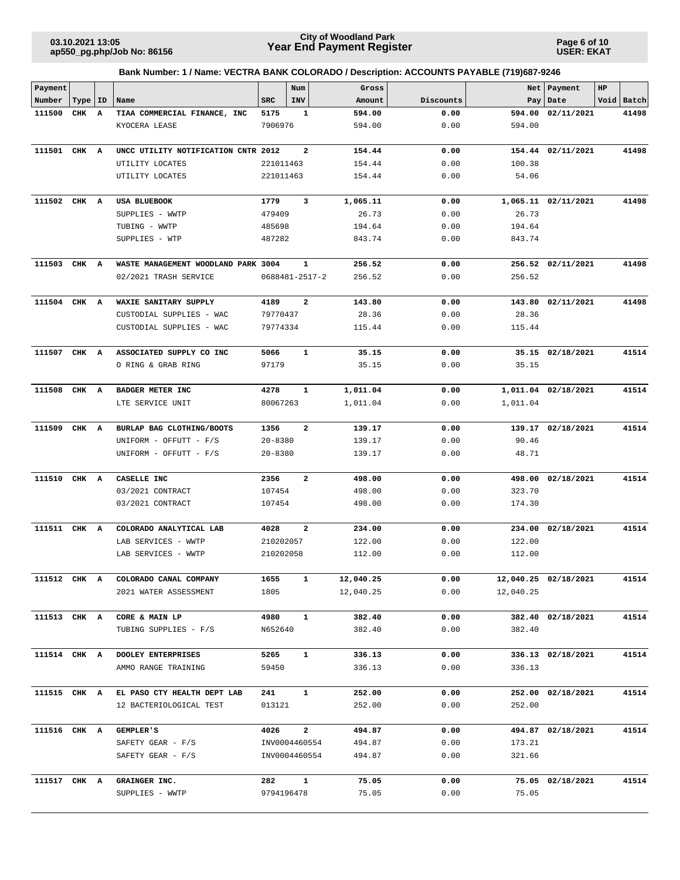**Page 6 of 10 USER: EKAT**

| Payment      |           |   |                                                            |             | Num                     | Gross     |           | Net       | Payment              | HP |            |
|--------------|-----------|---|------------------------------------------------------------|-------------|-------------------------|-----------|-----------|-----------|----------------------|----|------------|
| Number       | Type   ID |   | Name                                                       | <b>SRC</b>  | <b>INV</b>              | Amount    | Discounts |           | Pay   Date           |    | Void Batch |
| 111500       | CHK       | A | TIAA COMMERCIAL FINANCE, INC                               | 5175        | 1                       | 594.00    | 0.00      | 594.00    | 02/11/2021           |    | 41498      |
|              |           |   | KYOCERA LEASE                                              | 7906976     |                         | 594.00    | 0.00      | 594.00    |                      |    |            |
| 111501 CHK A |           |   | UNCC UTILITY NOTIFICATION CNTR 2012                        |             | 2                       | 154.44    | 0.00      |           | 154.44 02/11/2021    |    | 41498      |
|              |           |   | UTILITY LOCATES                                            | 221011463   |                         | 154.44    | 0.00      | 100.38    |                      |    |            |
|              |           |   |                                                            |             |                         |           |           | 54.06     |                      |    |            |
|              |           |   | UTILITY LOCATES                                            | 221011463   |                         | 154.44    | 0.00      |           |                      |    |            |
| 111502 CHK A |           |   | USA BLUEBOOK                                               | 1779        | 3                       | 1,065.11  | 0.00      |           | 1,065.11 02/11/2021  |    | 41498      |
|              |           |   | SUPPLIES - WWTP                                            | 479409      |                         | 26.73     | 0.00      | 26.73     |                      |    |            |
|              |           |   | TUBING - WWTP                                              | 485698      |                         | 194.64    | 0.00      | 194.64    |                      |    |            |
|              |           |   | SUPPLIES - WTP                                             | 487282      |                         | 843.74    | 0.00      | 843.74    |                      |    |            |
| 111503 CHK A |           |   | WASTE MANAGEMENT WOODLAND PARK 3004                        |             | $\mathbf{1}$            | 256.52    | 0.00      |           | 256.52 02/11/2021    |    | 41498      |
|              |           |   | 02/2021 TRASH SERVICE                                      |             | 0688481-2517-2          | 256.52    | 0.00      | 256.52    |                      |    |            |
|              |           |   |                                                            |             |                         |           |           |           |                      |    |            |
| 111504 CHK A |           |   | WAXIE SANITARY SUPPLY                                      | 4189        | $\overline{a}$          | 143.80    | 0.00      |           | 143.80 02/11/2021    |    | 41498      |
|              |           |   | CUSTODIAL SUPPLIES - WAC                                   | 79770437    |                         | 28.36     | 0.00      | 28.36     |                      |    |            |
|              |           |   | CUSTODIAL SUPPLIES - WAC                                   | 79774334    |                         | 115.44    | 0.00      | 115.44    |                      |    |            |
| 111507 CHK A |           |   | ASSOCIATED SUPPLY CO INC                                   | 5066        | $\mathbf{1}$            | 35.15     | 0.00      |           | 35.15 02/18/2021     |    | 41514      |
|              |           |   | O RING & GRAB RING                                         | 97179       |                         | 35.15     | 0.00      | 35.15     |                      |    |            |
|              |           |   |                                                            |             |                         |           |           |           |                      |    |            |
| 111508 CHK A |           |   | BADGER METER INC                                           | 4278        | $\mathbf{1}$            | 1,011.04  | 0.00      |           | 1,011.04 02/18/2021  |    | 41514      |
|              |           |   | LTE SERVICE UNIT                                           | 80067263    |                         | 1,011.04  | 0.00      | 1,011.04  |                      |    |            |
| 111509       | CHK A     |   | BURLAP BAG CLOTHING/BOOTS                                  | 1356        | 2                       | 139.17    | 0.00      |           | 139.17 02/18/2021    |    | 41514      |
|              |           |   | UNIFORM - OFFUTT - F/S                                     | $20 - 8380$ |                         | 139.17    | 0.00      | 90.46     |                      |    |            |
|              |           |   | UNIFORM - OFFUTT - F/S                                     | $20 - 8380$ |                         | 139.17    | 0.00      | 48.71     |                      |    |            |
| 111510       | CHK A     |   | CASELLE INC                                                | 2356        | $\overline{\mathbf{2}}$ | 498.00    | 0.00      |           | 498.00 02/18/2021    |    | 41514      |
|              |           |   | 03/2021 CONTRACT                                           | 107454      |                         | 498.00    | 0.00      | 323.70    |                      |    |            |
|              |           |   | 03/2021 CONTRACT                                           | 107454      |                         | 498.00    | 0.00      | 174.30    |                      |    |            |
|              |           |   |                                                            |             |                         |           |           |           |                      |    |            |
| 111511 CHK A |           |   | COLORADO ANALYTICAL LAB                                    | 4028        | $\overline{\mathbf{2}}$ | 234.00    | 0.00      |           | 234.00 02/18/2021    |    | 41514      |
|              |           |   | LAB SERVICES - WWTP                                        | 210202057   |                         | 122.00    | 0.00      | 122.00    |                      |    |            |
|              |           |   | LAB SERVICES - WWTP                                        | 210202058   |                         | 112.00    | 0.00      | 112.00    |                      |    |            |
|              |           |   | $111512\quad$ CHK $\quad$ A $\quad$ COLORADO CANAL COMPANY | 1655        |                         | 12,040.25 | 0.00      |           | 12,040.25 02/18/2021 |    | 41514      |
|              |           |   | 2021 WATER ASSESSMENT                                      | 1805        |                         | 12,040.25 | 0.00      | 12,040.25 |                      |    |            |
| 111513 CHK A |           |   | CORE & MAIN LP                                             | 4980        | $\mathbf{1}$            | 382.40    | 0.00      |           | 382.40 02/18/2021    |    | 41514      |
|              |           |   | TUBING SUPPLIES - F/S                                      | N652640     |                         | 382.40    | 0.00      | 382.40    |                      |    |            |
|              |           |   |                                                            |             |                         |           |           |           |                      |    |            |
| 111514 CHK A |           |   | DOOLEY ENTERPRISES                                         | 5265        | $\mathbf{1}$            | 336.13    | 0.00      |           | 336.13 02/18/2021    |    | 41514      |
|              |           |   | AMMO RANGE TRAINING                                        | 59450       |                         | 336.13    | 0.00      | 336.13    |                      |    |            |
| 111515 CHK A |           |   | EL PASO CTY HEALTH DEPT LAB                                | 241         | $\mathbf{1}$            | 252.00    | 0.00      |           | 252.00 02/18/2021    |    | 41514      |
|              |           |   | 12 BACTERIOLOGICAL TEST                                    | 013121      |                         | 252.00    | 0.00      | 252.00    |                      |    |            |
| 111516 CHK A |           |   | <b>GEMPLER'S</b>                                           | 4026        | $\mathbf{2}$            | 494.87    | 0.00      |           | 494.87 02/18/2021    |    | 41514      |
|              |           |   | SAFETY GEAR - F/S                                          |             | INV0004460554           | 494.87    | 0.00      | 173.21    |                      |    |            |
|              |           |   | SAFETY GEAR - $F/S$                                        |             | INV0004460554           | 494.87    | 0.00      | 321.66    |                      |    |            |
|              |           |   |                                                            |             |                         |           |           |           |                      |    |            |
| 111517 CHK A |           |   | GRAINGER INC.                                              | 282         | $\mathbf{1}$            | 75.05     | 0.00      |           | 75.05 02/18/2021     |    | 41514      |
|              |           |   | SUPPLIES - WWTP                                            | 9794196478  |                         | 75.05     | 0.00      | 75.05     |                      |    |            |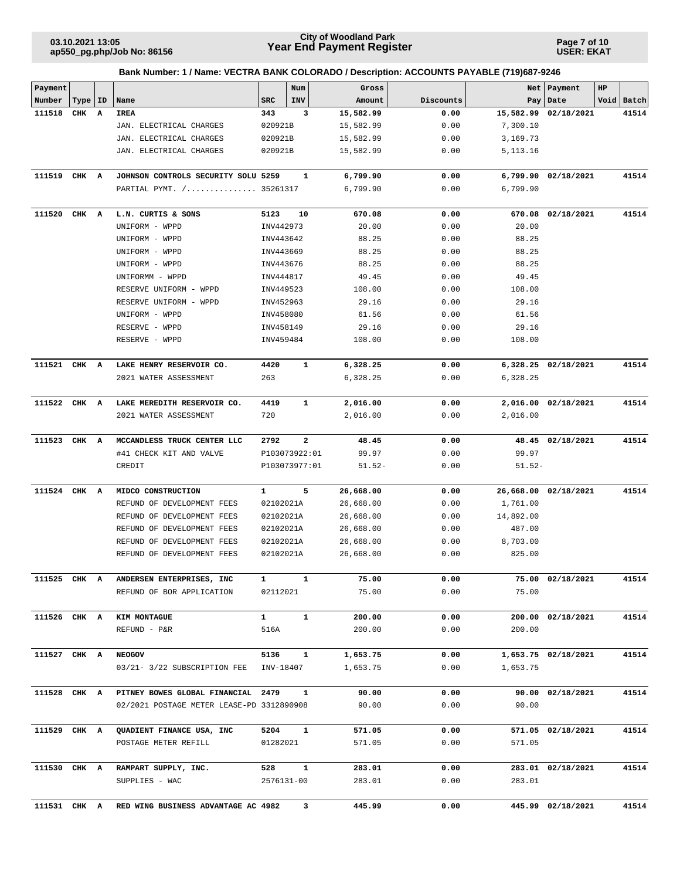**Page 7 of 10 USER: EKAT**

| Payment      |           |                                           |              | Num           | Gross     |           | Net       | Payment              | HP |            |
|--------------|-----------|-------------------------------------------|--------------|---------------|-----------|-----------|-----------|----------------------|----|------------|
| Number       | Type   ID | Name                                      | <b>SRC</b>   | INV           | Amount    | Discounts | Pay       | Date                 |    | Void Batch |
| 111518       | CHK A     | IREA                                      | 343          | 3             | 15,582.99 | 0.00      |           | 15,582.99 02/18/2021 |    | 41514      |
|              |           | JAN. ELECTRICAL CHARGES                   | 020921B      |               | 15,582.99 | 0.00      | 7,300.10  |                      |    |            |
|              |           | JAN. ELECTRICAL CHARGES                   | 020921B      |               | 15,582.99 | 0.00      | 3,169.73  |                      |    |            |
|              |           | JAN. ELECTRICAL CHARGES                   | 020921B      |               | 15,582.99 | 0.00      | 5,113.16  |                      |    |            |
| 111519 CHK A |           | JOHNSON CONTROLS SECURITY SOLU 5259       |              | 1             | 6,799.90  | 0.00      | 6,799.90  | 02/18/2021           |    | 41514      |
|              |           | PARTIAL PYMT. / 35261317                  |              |               | 6,799.90  | 0.00      | 6,799.90  |                      |    |            |
| 111520       | CHK A     | L.N. CURTIS & SONS                        | 5123         | 10            | 670.08    | 0.00      |           | 670.08 02/18/2021    |    | 41514      |
|              |           | UNIFORM - WPPD                            | INV442973    |               | 20.00     | 0.00      | 20.00     |                      |    |            |
|              |           | UNIFORM - WPPD                            | INV443642    |               | 88.25     | 0.00      | 88.25     |                      |    |            |
|              |           | UNIFORM - WPPD                            | INV443669    |               | 88.25     | 0.00      | 88.25     |                      |    |            |
|              |           | UNIFORM - WPPD                            | INV443676    |               | 88.25     | 0.00      | 88.25     |                      |    |            |
|              |           | UNIFORMM - WPPD                           | INV444817    |               | 49.45     | 0.00      | 49.45     |                      |    |            |
|              |           | RESERVE UNIFORM - WPPD                    | INV449523    |               | 108.00    | 0.00      | 108.00    |                      |    |            |
|              |           | RESERVE UNIFORM - WPPD                    | INV452963    |               | 29.16     | 0.00      | 29.16     |                      |    |            |
|              |           | UNIFORM - WPPD                            | INV458080    |               | 61.56     | 0.00      | 61.56     |                      |    |            |
|              |           | RESERVE - WPPD                            | INV458149    |               | 29.16     | 0.00      | 29.16     |                      |    |            |
|              |           | RESERVE - WPPD                            | INV459484    |               | 108.00    | 0.00      | 108.00    |                      |    |            |
| 111521 CHK A |           | LAKE HENRY RESERVOIR CO.                  | 4420         | $\mathbf 1$   | 6,328.25  | 0.00      |           | 6,328.25 02/18/2021  |    | 41514      |
|              |           | 2021 WATER ASSESSMENT                     | 263          |               | 6,328.25  | 0.00      | 6,328.25  |                      |    |            |
| 111522 CHK A |           | LAKE MEREDITH RESERVOIR CO.               | 4419         | 1             | 2,016.00  | 0.00      |           | 2,016.00 02/18/2021  |    | 41514      |
|              |           | 2021 WATER ASSESSMENT                     | 720          |               | 2,016.00  | 0.00      | 2,016.00  |                      |    |            |
| 111523       | CHK A     | MCCANDLESS TRUCK CENTER LLC               | 2792         | 2             | 48.45     | 0.00      |           | 48.45 02/18/2021     |    | 41514      |
|              |           | #41 CHECK KIT AND VALVE                   |              | P103073922:01 | 99.97     | 0.00      | 99.97     |                      |    |            |
|              |           | CREDIT                                    |              | P103073977:01 | $51.52 -$ | 0.00      | $51.52-$  |                      |    |            |
| 111524 CHK A |           | MIDCO CONSTRUCTION                        | 1            | 5             | 26,668.00 | 0.00      |           | 26,668.00 02/18/2021 |    | 41514      |
|              |           | REFUND OF DEVELOPMENT FEES                | 02102021A    |               | 26,668.00 | 0.00      | 1,761.00  |                      |    |            |
|              |           | REFUND OF DEVELOPMENT FEES                | 02102021A    |               | 26,668.00 | 0.00      | 14,892.00 |                      |    |            |
|              |           | REFUND OF DEVELOPMENT FEES                | 02102021A    |               | 26,668.00 | 0.00      | 487.00    |                      |    |            |
|              |           | REFUND OF DEVELOPMENT FEES                | 02102021A    |               | 26,668.00 | 0.00      | 8,703.00  |                      |    |            |
|              |           | REFUND OF DEVELOPMENT FEES                | 02102021A    |               | 26,668.00 | 0.00      | 825.00    |                      |    |            |
| 111525 CHK A |           | ANDERSEN ENTERPRISES, INC                 |              |               | 75.00     | 0.00      |           | 75.00 02/18/2021     |    | 41514      |
|              |           | REFUND OF BOR APPLICATION                 | 02112021     |               | 75.00     | 0.00      | 75.00     |                      |    |            |
| 111526 CHK A |           | KIM MONTAGUE                              | $\mathbf{1}$ | $\mathbf{1}$  | 200.00    | 0.00      |           | 200.00 02/18/2021    |    | 41514      |
|              |           | REFUND - P&R                              | 516A         |               | 200.00    | 0.00      | 200.00    |                      |    |            |
| 111527 CHK A |           | <b>NEOGOV</b>                             | 5136         | $\mathbf{1}$  | 1,653.75  | 0.00      |           | 1,653.75 02/18/2021  |    | 41514      |
|              |           | 03/21- 3/22 SUBSCRIPTION FEE              | INV-18407    |               | 1,653.75  | 0.00      | 1,653.75  |                      |    |            |
| 111528 CHK A |           | PITNEY BOWES GLOBAL FINANCIAL 2479        |              | $\mathbf{1}$  | 90.00     | 0.00      |           | 90.00 02/18/2021     |    | 41514      |
|              |           | 02/2021 POSTAGE METER LEASE-PD 3312890908 |              |               | 90.00     | 0.00      | 90.00     |                      |    |            |
| 111529 CHK A |           | QUADIENT FINANCE USA, INC                 | 5204         | $\mathbf{1}$  | 571.05    | 0.00      |           | 571.05 02/18/2021    |    | 41514      |
|              |           | POSTAGE METER REFILL                      | 01282021     |               | 571.05    | 0.00      | 571.05    |                      |    |            |
| 111530 CHK A |           | RAMPART SUPPLY, INC.                      | 528          | $\mathbf{1}$  | 283.01    | 0.00      |           | 283.01 02/18/2021    |    | 41514      |
|              |           | SUPPLIES - WAC                            |              | 2576131-00    | 283.01    | 0.00      | 283.01    |                      |    |            |
| 111531 CHK A |           | RED WING BUSINESS ADVANTAGE AC 4982       |              | 3             | 445.99    | 0.00      |           | 445.99 02/18/2021    |    | 41514      |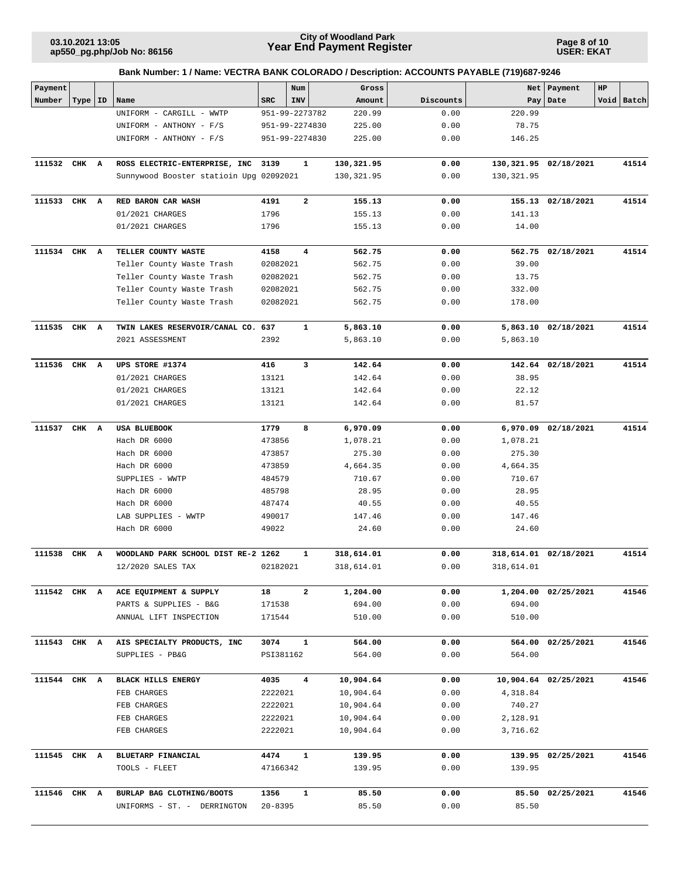**Page 8 of 10 USER: EKAT**

| Payment      |           |                                                  |                  | Num                     | Gross              |              | Net                | Payment               | HP |            |
|--------------|-----------|--------------------------------------------------|------------------|-------------------------|--------------------|--------------|--------------------|-----------------------|----|------------|
| Number       | Type   ID | Name                                             | SRC              | <b>INV</b>              | Amount             | Discounts    | Pay                | Date                  |    | Void Batch |
|              |           | UNIFORM - CARGILL - WWTP                         |                  | 951-99-2273782          | 220.99             | 0.00         | 220.99             |                       |    |            |
|              |           | UNIFORM - ANTHONY - F/S                          |                  | 951-99-2274830          | 225.00             | 0.00         | 78.75              |                       |    |            |
|              |           | UNIFORM - ANTHONY - F/S                          |                  | 951-99-2274830          | 225.00             | 0.00         | 146.25             |                       |    |            |
|              |           |                                                  |                  |                         |                    |              |                    |                       |    |            |
| 111532       | CHK A     | ROSS ELECTRIC-ENTERPRISE, INC                    | 3139             | 1                       | 130,321.95         | 0.00         |                    | 130,321.95 02/18/2021 |    | 41514      |
|              |           | Sunnywood Booster statioin Upg 02092021          |                  |                         | 130, 321.95        | 0.00         | 130,321.95         |                       |    |            |
| 111533       | CHK A     | RED BARON CAR WASH                               | 4191             | $\mathbf{2}$            | 155.13             | 0.00         |                    | 155.13 02/18/2021     |    | 41514      |
|              |           | 01/2021 CHARGES                                  | 1796             |                         | 155.13             | 0.00         | 141.13             |                       |    |            |
|              |           | 01/2021 CHARGES                                  | 1796             |                         | 155.13             | 0.00         | 14.00              |                       |    |            |
| 111534 CHK A |           | TELLER COUNTY WASTE                              | 4158             | $\overline{\mathbf{4}}$ | 562.75             | 0.00         |                    | 562.75 02/18/2021     |    | 41514      |
|              |           | Teller County Waste Trash                        | 02082021         |                         | 562.75             | 0.00         | 39.00              |                       |    |            |
|              |           | Teller County Waste Trash                        | 02082021         |                         | 562.75             | 0.00         | 13.75              |                       |    |            |
|              |           | Teller County Waste Trash                        | 02082021         |                         | 562.75             | 0.00         | 332.00             |                       |    |            |
|              |           | Teller County Waste Trash                        | 02082021         |                         | 562.75             | 0.00         | 178.00             |                       |    |            |
| 111535 CHK A |           | TWIN LAKES RESERVOIR/CANAL CO. 637               |                  | 1                       | 5,863.10           | 0.00         |                    | 5,863.10 02/18/2021   |    | 41514      |
|              |           | 2021 ASSESSMENT                                  | 2392             |                         | 5,863.10           | 0.00         | 5,863.10           |                       |    |            |
| 111536 CHK A |           | UPS STORE #1374                                  | 416              | 3                       | 142.64             | 0.00         |                    | 142.64 02/18/2021     |    | 41514      |
|              |           | 01/2021 CHARGES                                  | 13121            |                         | 142.64             | 0.00         | 38.95              |                       |    |            |
|              |           | 01/2021 CHARGES                                  | 13121            |                         | 142.64             | 0.00         | 22.12              |                       |    |            |
|              |           | 01/2021 CHARGES                                  | 13121            |                         | 142.64             | 0.00         | 81.57              |                       |    |            |
|              |           |                                                  |                  |                         |                    |              |                    |                       |    | 41514      |
| 111537       | CHK A     | USA BLUEBOOK<br>Hach DR 6000                     | 1779             | 8                       | 6,970.09           | 0.00         | 6,970.09           | 02/18/2021            |    |            |
|              |           | Hach DR 6000                                     | 473856<br>473857 |                         | 1,078.21<br>275.30 | 0.00<br>0.00 | 1,078.21<br>275.30 |                       |    |            |
|              |           | Hach DR 6000                                     | 473859           |                         | 4,664.35           | 0.00         | 4,664.35           |                       |    |            |
|              |           | SUPPLIES - WWTP                                  | 484579           |                         | 710.67             | 0.00         | 710.67             |                       |    |            |
|              |           | Hach DR 6000                                     | 485798           |                         | 28.95              | 0.00         | 28.95              |                       |    |            |
|              |           | Hach DR 6000                                     | 487474           |                         | 40.55              | 0.00         | 40.55              |                       |    |            |
|              |           | LAB SUPPLIES - WWTP                              | 490017           |                         | 147.46             | 0.00         | 147.46             |                       |    |            |
|              |           | Hach DR 6000                                     | 49022            |                         | 24.60              | 0.00         | 24.60              |                       |    |            |
| 111538       | CHK A     | WOODLAND PARK SCHOOL DIST RE-2 1262              |                  | 1                       | 318,614.01         | 0.00         |                    | 318,614.01 02/18/2021 |    | 41514      |
|              |           | 12/2020 SALES TAX                                | 02182021         |                         | 318,614.01         | 0.00         | 318,614.01         |                       |    |            |
| 111542 CHK A |           |                                                  |                  |                         |                    |              |                    |                       |    |            |
|              |           | ACE EQUIPMENT & SUPPLY<br>PARTS & SUPPLIES - B&G | 18<br>171538     | 2                       | 1,204.00<br>694.00 | 0.00<br>0.00 | 694.00             | 1,204.00 02/25/2021   |    | 41546      |
|              |           | ANNUAL LIFT INSPECTION                           | 171544           |                         | 510.00             | 0.00         | 510.00             |                       |    |            |
|              |           |                                                  |                  |                         |                    |              |                    |                       |    |            |
| 111543 CHK A |           | AIS SPECIALTY PRODUCTS, INC                      | 3074             | $\mathbf{1}$            | 564.00             | 0.00         |                    | 564.00 02/25/2021     |    | 41546      |
|              |           | SUPPLIES - PB&G                                  | PSI381162        |                         | 564.00             | 0.00         | 564.00             |                       |    |            |
| 111544 CHK A |           | <b>BLACK HILLS ENERGY</b>                        | 4035             | 4                       | 10,904.64          | 0.00         |                    | 10,904.64 02/25/2021  |    | 41546      |
|              |           | FEB CHARGES                                      | 2222021          |                         | 10,904.64          | 0.00         | 4,318.84           |                       |    |            |
|              |           | FEB CHARGES                                      | 2222021          |                         | 10,904.64          | 0.00         | 740.27             |                       |    |            |
|              |           | FEB CHARGES                                      | 2222021          |                         | 10,904.64          | 0.00         | 2,128.91           |                       |    |            |
|              |           | FEB CHARGES                                      | 2222021          |                         | 10,904.64          | 0.00         | 3,716.62           |                       |    |            |
| 111545 CHK A |           | BLUETARP FINANCIAL                               | 4474             | $\mathbf{1}$            | 139.95             | 0.00         |                    | 139.95 02/25/2021     |    | 41546      |
|              |           | TOOLS - FLEET                                    | 47166342         |                         | 139.95             | 0.00         | 139.95             |                       |    |            |
| 111546 CHK A |           | BURLAP BAG CLOTHING/BOOTS                        | 1356             | $\mathbf{1}$            | 85.50              | 0.00         |                    | 85.50 02/25/2021      |    | 41546      |
|              |           |                                                  | $20 - 8395$      |                         |                    | 0.00         |                    |                       |    |            |
|              |           | UNIFORMS - ST. - DERRINGTON                      |                  |                         | 85.50              |              | 85.50              |                       |    |            |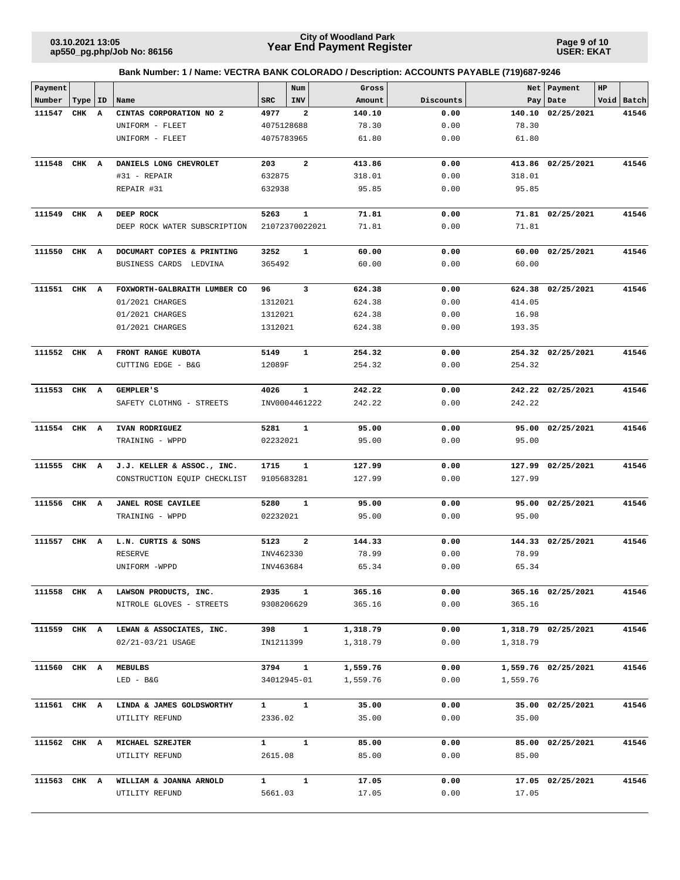**Page 9 of 10 USER: EKAT**

| Bank Number: 1 / Name: VECTRA BANK COLORADO / Description: ACCOUNTS PAYABLE (719)687-9246 |  |  |  |  |  |
|-------------------------------------------------------------------------------------------|--|--|--|--|--|
|                                                                                           |  |  |  |  |  |

| Payment      |           |                              |              | Num                        | Gross    |              | Net      | Payment             | HP |            |
|--------------|-----------|------------------------------|--------------|----------------------------|----------|--------------|----------|---------------------|----|------------|
| Number       | Type   ID | Name                         | <b>SRC</b>   | <b>INV</b>                 | Amount   | Discounts    | Pay      | Date                |    | Void Batch |
| 111547       | CHK A     | CINTAS CORPORATION NO 2      | 4977         | $\overline{\mathbf{2}}$    | 140.10   | 0.00         | 140.10   | 02/25/2021          |    | 41546      |
|              |           | UNIFORM - FLEET              | 4075128688   |                            | 78.30    | 0.00         | 78.30    |                     |    |            |
|              |           | UNIFORM - FLEET              | 4075783965   |                            | 61.80    | 0.00         | 61.80    |                     |    |            |
| 111548       | CHK A     | DANIELS LONG CHEVROLET       | 203          | $\overline{\mathbf{2}}$    | 413.86   | 0.00         |          | 413.86 02/25/2021   |    | 41546      |
|              |           | #31 - REPAIR                 | 632875       |                            | 318.01   | 0.00         | 318.01   |                     |    |            |
|              |           | REPAIR #31                   | 632938       |                            | 95.85    | 0.00         | 95.85    |                     |    |            |
|              |           |                              |              |                            |          |              |          |                     |    |            |
| 111549       | CHK A     | DEEP ROCK                    | 5263         | $\mathbf{1}$               | 71.81    | 0.00         |          | 71.81 02/25/2021    |    | 41546      |
|              |           | DEEP ROCK WATER SUBSCRIPTION |              | 21072370022021             | 71.81    | 0.00         | 71.81    |                     |    |            |
| 111550       | CHK A     | DOCUMART COPIES & PRINTING   | 3252         | 1                          | 60.00    | 0.00         |          | 60.00 02/25/2021    |    | 41546      |
|              |           | BUSINESS CARDS LEDVINA       | 365492       |                            | 60.00    | 0.00         | 60.00    |                     |    |            |
|              |           |                              |              |                            |          |              |          |                     |    |            |
| 111551       | CHK A     | FOXWORTH-GALBRAITH LUMBER CO | 96           | 3                          | 624.38   | 0.00         |          | 624.38 02/25/2021   |    | 41546      |
|              |           | 01/2021 CHARGES              | 1312021      |                            | 624.38   | 0.00         | 414.05   |                     |    |            |
|              |           | 01/2021 CHARGES              | 1312021      |                            | 624.38   | 0.00         | 16.98    |                     |    |            |
|              |           | 01/2021 CHARGES              | 1312021      |                            | 624.38   | 0.00         | 193.35   |                     |    |            |
| 111552 CHK A |           | FRONT RANGE KUBOTA           | 5149         | 1                          | 254.32   | 0.00         |          | 254.32 02/25/2021   |    | 41546      |
|              |           | CUTTING EDGE - B&G           | 12089F       |                            | 254.32   | 0.00         | 254.32   |                     |    |            |
|              |           |                              |              |                            |          |              |          |                     |    |            |
| 111553       | CHK A     | <b>GEMPLER'S</b>             | 4026         | $\mathbf{1}$               | 242.22   | 0.00         |          | 242.22 02/25/2021   |    | 41546      |
|              |           | SAFETY CLOTHNG - STREETS     |              | INV0004461222              | 242.22   | 0.00         | 242.22   |                     |    |            |
| 111554 CHK A |           | IVAN RODRIGUEZ               | 5281         | $\mathbf{1}$               | 95.00    | 0.00         |          | 95.00 02/25/2021    |    | 41546      |
|              |           | TRAINING - WPPD              | 02232021     |                            | 95.00    | 0.00         | 95.00    |                     |    |            |
| 111555       | CHK A     | J.J. KELLER & ASSOC., INC.   | 1715         | 1                          | 127.99   | 0.00         |          | 127.99 02/25/2021   |    | 41546      |
|              |           | CONSTRUCTION EQUIP CHECKLIST | 9105683281   |                            | 127.99   | 0.00         | 127.99   |                     |    |            |
| 111556       | CHK A     | <b>JANEL ROSE CAVILEE</b>    | 5280         | 1                          | 95.00    | 0.00         |          | 95.00 02/25/2021    |    | 41546      |
|              |           | TRAINING - WPPD              | 02232021     |                            | 95.00    | 0.00         | 95.00    |                     |    |            |
|              |           |                              |              |                            |          |              |          |                     |    |            |
| 111557       | CHK A     | L.N. CURTIS & SONS           | 5123         | $\overline{\mathbf{2}}$    | 144.33   | 0.00         |          | 144.33 02/25/2021   |    | 41546      |
|              |           | <b>RESERVE</b>               | INV462330    |                            | 78.99    | 0.00         | 78.99    |                     |    |            |
|              |           | UNIFORM -WPPD                | INV463684    |                            | 65.34    | 0.00         | 65.34    |                     |    |            |
|              |           |                              |              |                            |          |              |          |                     |    |            |
| 111558 CHK A |           | LAWSON PRODUCTS, INC.        | 2935         | $\mathbf{1}$<br>9308206629 | 365.16   | 0.00<br>0.00 | 365.16   | 365.16 02/25/2021   |    | 41546      |
|              |           | NITROLE GLOVES - STREETS     |              |                            | 365.16   |              |          |                     |    |            |
| 111559 CHK A |           | LEWAN & ASSOCIATES, INC.     | 398          | $\mathbf{1}$               | 1,318.79 | 0.00         |          | 1,318.79 02/25/2021 |    | 41546      |
|              |           | 02/21-03/21 USAGE            | IN1211399    |                            | 1,318.79 | 0.00         | 1,318.79 |                     |    |            |
| 111560 CHK A |           | MEBULBS                      | 3794         | $\mathbf{1}$               | 1,559.76 | 0.00         |          | 1,559.76 02/25/2021 |    | 41546      |
|              |           | $LED - B&G$                  |              | 34012945-01                | 1,559.76 | 0.00         | 1,559.76 |                     |    |            |
|              |           |                              |              |                            |          |              |          |                     |    |            |
| 111561 CHK A |           | LINDA & JAMES GOLDSWORTHY    | $\mathbf{1}$ | $\mathbf{1}$               | 35.00    | 0.00         |          | 35.00 02/25/2021    |    | 41546      |
|              |           | UTILITY REFUND               | 2336.02      |                            | 35.00    | 0.00         | 35.00    |                     |    |            |
| 111562 CHK A |           | MICHAEL SZREJTER             | $\mathbf{1}$ | $\mathbf{1}$               | 85.00    | 0.00         |          | 85.00 02/25/2021    |    | 41546      |
|              |           | UTILITY REFUND               | 2615.08      |                            | 85.00    | 0.00         | 85.00    |                     |    |            |
| 111563 CHK A |           | WILLIAM & JOANNA ARNOLD      | $\mathbf{1}$ | $\mathbf{1}$               | 17.05    | 0.00         |          | 17.05 02/25/2021    |    | 41546      |
|              |           | UTILITY REFUND               | 5661.03      |                            | 17.05    | 0.00         | 17.05    |                     |    |            |
|              |           |                              |              |                            |          |              |          |                     |    |            |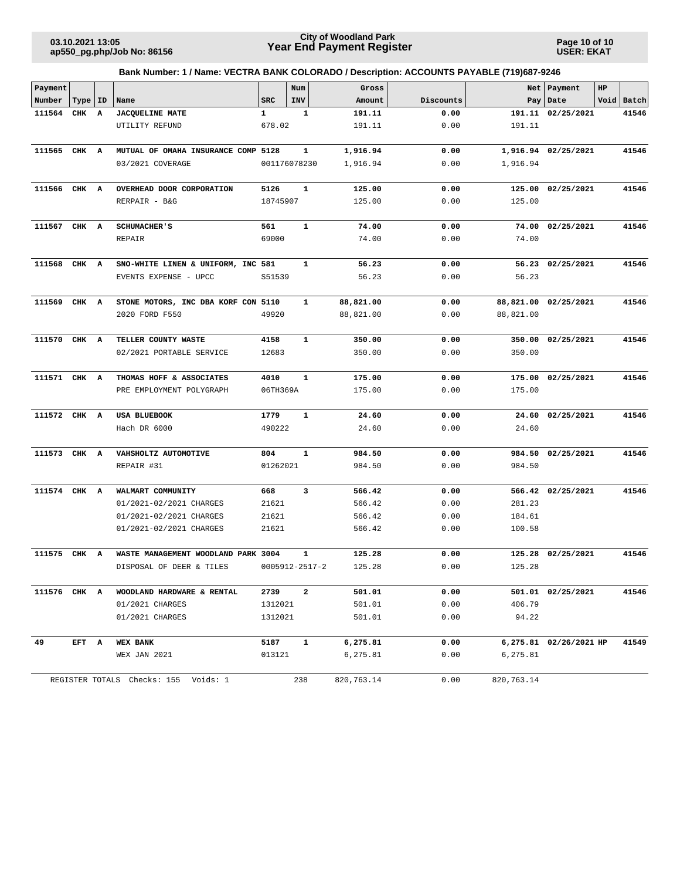**Page 10 of 10 USER: EKAT**

| Payment      |           |              |                                      |              | Num                     | Gross      |           | Net        | Payment                | HP |            |
|--------------|-----------|--------------|--------------------------------------|--------------|-------------------------|------------|-----------|------------|------------------------|----|------------|
| Number       | Type   ID |              | Name                                 | <b>SRC</b>   | INV                     | Amount     | Discounts | Pay        | Date                   |    | Void Batch |
| 111564       | CHK       | $\mathbf{A}$ | <b>JACQUELINE MATE</b>               | $\mathbf{1}$ | $\mathbf 1$             | 191.11     | 0.00      |            | 191.11 02/25/2021      |    | 41546      |
|              |           |              | UTILITY REFUND                       | 678.02       |                         | 191.11     | 0.00      | 191.11     |                        |    |            |
|              |           |              |                                      |              |                         |            |           |            |                        |    |            |
| 111565       | CHK A     |              | MUTUAL OF OMAHA INSURANCE COMP 5128  |              | 1                       | 1,916.94   | 0.00      |            | 1,916.94 02/25/2021    |    | 41546      |
|              |           |              | 03/2021 COVERAGE                     |              | 001176078230            | 1,916.94   | 0.00      | 1,916.94   |                        |    |            |
|              |           |              |                                      |              |                         |            |           |            |                        |    |            |
| 111566       | CHK A     |              | OVERHEAD DOOR CORPORATION            | 5126         | $\mathbf{1}$            | 125.00     | 0.00      | 125.00     | 02/25/2021             |    | 41546      |
|              |           |              | RERPAIR - B&G                        | 18745907     |                         | 125.00     | 0.00      | 125.00     |                        |    |            |
|              |           |              |                                      |              |                         |            |           |            |                        |    |            |
| 111567       | CHK A     |              | <b>SCHUMACHER'S</b>                  | 561          | $\mathbf{1}$            | 74.00      | 0.00      |            | 74.00 02/25/2021       |    | 41546      |
|              |           |              | REPAIR                               | 69000        |                         | 74.00      | 0.00      | 74.00      |                        |    |            |
| 111568       | CHK A     |              | SNO-WHITE LINEN & UNIFORM, INC 581   |              | 1                       | 56.23      | 0.00      |            | 56.23 02/25/2021       |    | 41546      |
|              |           |              | EVENTS EXPENSE - UPCC                | S51539       |                         | 56.23      | 0.00      | 56.23      |                        |    |            |
|              |           |              |                                      |              |                         |            |           |            |                        |    |            |
| 111569       | CHK A     |              | STONE MOTORS, INC DBA KORF CON 5110  |              | $\mathbf{1}$            | 88,821.00  | 0.00      |            | 88,821.00 02/25/2021   |    | 41546      |
|              |           |              | 2020 FORD F550                       | 49920        |                         | 88,821.00  | 0.00      | 88,821.00  |                        |    |            |
| 111570       | CHK A     |              | TELLER COUNTY WASTE                  | 4158         | $\mathbf{1}$            | 350.00     | 0.00      |            | 350.00 02/25/2021      |    | 41546      |
|              |           |              | 02/2021 PORTABLE SERVICE             | 12683        |                         | 350.00     | 0.00      | 350.00     |                        |    |            |
|              |           |              |                                      |              |                         |            |           |            |                        |    |            |
| 111571 CHK A |           |              | THOMAS HOFF & ASSOCIATES             | 4010         | $\mathbf{1}$            | 175.00     | 0.00      |            | 175.00 02/25/2021      |    | 41546      |
|              |           |              | PRE EMPLOYMENT POLYGRAPH             | 06TH369A     |                         | 175.00     | 0.00      | 175.00     |                        |    |            |
|              |           |              |                                      |              |                         |            |           |            |                        |    |            |
| 111572 CHK A |           |              | <b>USA BLUEBOOK</b>                  | 1779         | $\mathbf{1}$            | 24.60      | 0.00      |            | 24.60 02/25/2021       |    | 41546      |
|              |           |              | Hach DR 6000                         | 490222       |                         | 24.60      | 0.00      | 24.60      |                        |    |            |
|              |           |              |                                      |              |                         |            |           |            |                        |    |            |
| 111573 CHK A |           |              | VAHSHOLTZ AUTOMOTIVE                 | 804          | $\mathbf{1}$            | 984.50     | 0.00      |            | 984.50 02/25/2021      |    | 41546      |
|              |           |              | REPAIR #31                           | 01262021     |                         | 984.50     | 0.00      | 984.50     |                        |    |            |
| 111574       | CHK A     |              | WALMART COMMUNITY                    | 668          | 3                       | 566.42     | 0.00      |            | 566.42 02/25/2021      |    | 41546      |
|              |           |              | 01/2021-02/2021 CHARGES              | 21621        |                         | 566.42     | 0.00      | 281.23     |                        |    |            |
|              |           |              | 01/2021-02/2021 CHARGES              | 21621        |                         | 566.42     | 0.00      | 184.61     |                        |    |            |
|              |           |              | 01/2021-02/2021 CHARGES              | 21621        |                         | 566.42     | 0.00      | 100.58     |                        |    |            |
|              |           |              |                                      |              |                         |            |           |            |                        |    |            |
| 111575       | CHK       | A            | WASTE MANAGEMENT WOODLAND PARK 3004  |              | $\mathbf{1}$            | 125.28     | 0.00      | 125.28     | 02/25/2021             |    | 41546      |
|              |           |              | DISPOSAL OF DEER & TILES             |              | 0005912-2517-2          | 125.28     | 0.00      | 125.28     |                        |    |            |
|              |           |              |                                      |              |                         |            |           |            |                        |    |            |
| 111576 CHK A |           |              | WOODLAND HARDWARE & RENTAL           | 2739         | $\overline{\mathbf{2}}$ | 501.01     | 0.00      |            | 501.01 02/25/2021      |    | 41546      |
|              |           |              | 01/2021 CHARGES                      | 1312021      |                         | 501.01     | 0.00      | 406.79     |                        |    |            |
|              |           |              | 01/2021 CHARGES                      | 1312021      |                         | 501.01     | 0.00      | 94.22      |                        |    |            |
| 49           | EFT A     |              | <b>WEX BANK</b>                      | 5187         | $\mathbf{1}$            | 6,275.81   | 0.00      |            | 6,275.81 02/26/2021 HP |    | 41549      |
|              |           |              | WEX JAN 2021                         | 013121       |                         | 6,275.81   | 0.00      | 6,275.81   |                        |    |            |
|              |           |              |                                      |              |                         |            |           |            |                        |    |            |
|              |           |              | REGISTER TOTALS Checks: 155 Voids: 1 |              | 238                     | 820,763.14 | 0.00      | 820,763.14 |                        |    |            |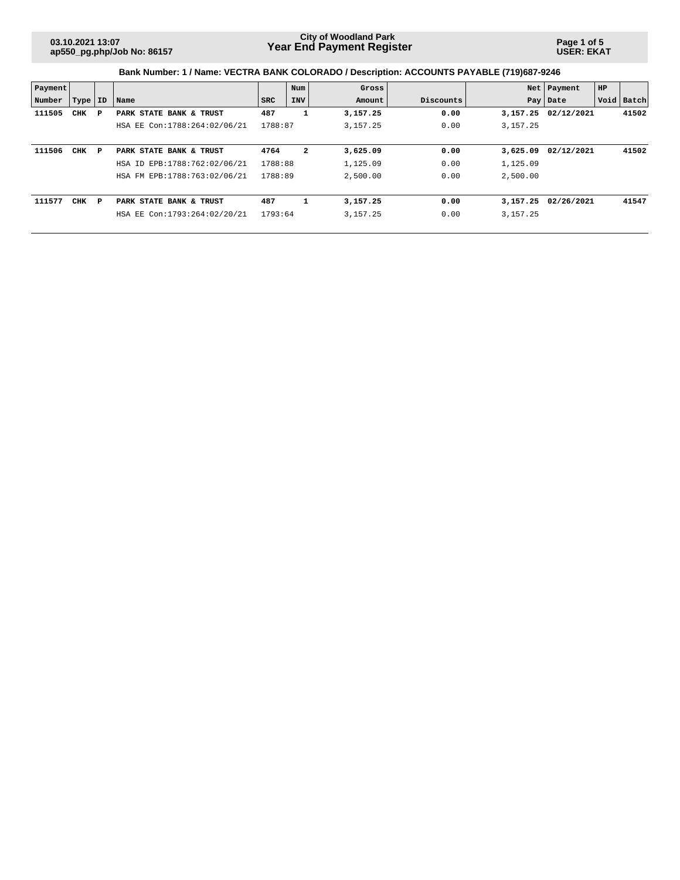**Page 1 of 5 USER: EKAT**

| Payment |            |   |                              |         | Num                     | Gross      |           |            | Net   Payment | HP |            |
|---------|------------|---|------------------------------|---------|-------------------------|------------|-----------|------------|---------------|----|------------|
| Number  | Type   ID  |   | Name                         | SRC     | <b>INV</b>              | Amount     | Discounts |            | Pay   Date    |    | Void Batch |
| 111505  | CHK        | Р | PARK STATE BANK & TRUST      | 487     | 1                       | 3,157.25   | 0.00      | 3,157.25   | 02/12/2021    |    | 41502      |
|         |            |   | HSA EE Con:1788:264:02/06/21 | 1788:87 |                         | 3,157.25   | 0.00      | 3, 157. 25 |               |    |            |
|         |            |   |                              |         |                         |            |           |            |               |    |            |
| 111506  | <b>CHK</b> | P | PARK STATE BANK & TRUST      | 4764    | $\overline{\mathbf{2}}$ | 3,625.09   | 0.00      | 3,625.09   | 02/12/2021    |    | 41502      |
|         |            |   | HSA ID EPB:1788:762:02/06/21 | 1788:88 |                         | 1,125.09   | 0.00      | 1,125.09   |               |    |            |
|         |            |   | HSA FM EPB:1788:763:02/06/21 | 1788:89 |                         | 2,500.00   | 0.00      | 2,500.00   |               |    |            |
|         |            |   |                              |         |                         |            |           |            |               |    |            |
| 111577  | <b>CHK</b> | P | PARK STATE BANK & TRUST      | 487     | 1                       | 3,157.25   | 0.00      | 3,157.25   | 02/26/2021    |    | 41547      |
|         |            |   | HSA EE Con:1793:264:02/20/21 | 1793:64 |                         | 3, 157. 25 | 0.00      | 3, 157. 25 |               |    |            |
|         |            |   |                              |         |                         |            |           |            |               |    |            |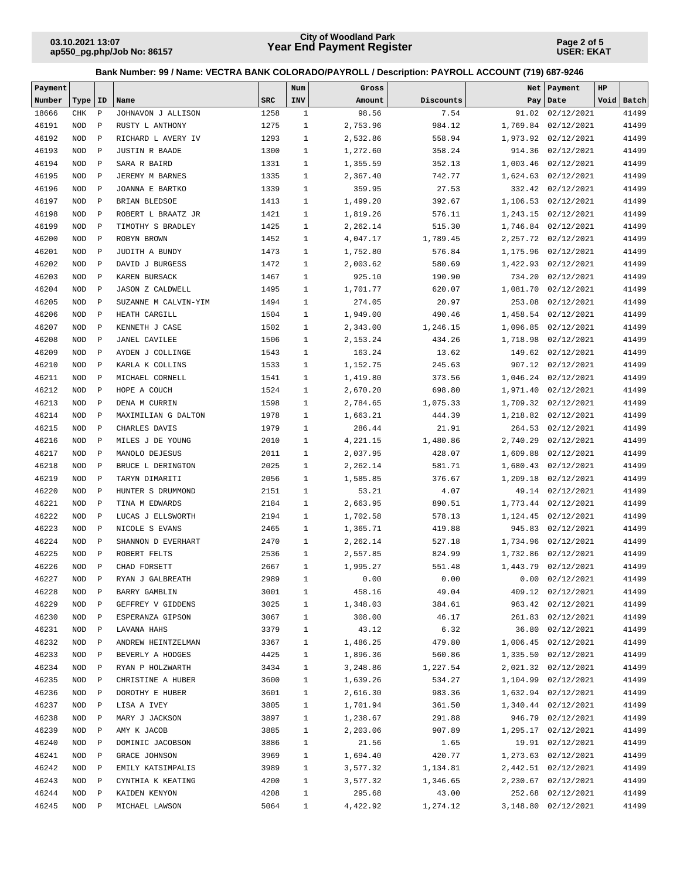**Page 2 of 5 USER: EKAT**

| Payment |            |              |                         |            | Num          | Gross    |           | Net      | Payment              | HP |            |
|---------|------------|--------------|-------------------------|------------|--------------|----------|-----------|----------|----------------------|----|------------|
| Number  | Type   ID  |              | Name                    | <b>SRC</b> | INV          | Amount   | Discounts |          | Pay Date             |    | Void Batch |
| 18666   | CHK        | $\, {\bf P}$ | JOHNAVON J ALLISON      | 1258       | $\mathbf{1}$ | 98.56    | 7.54      |          | 91.02 02/12/2021     |    | 41499      |
| 46191   | <b>NOD</b> | $\mathbf P$  | RUSTY L ANTHONY         | 1275       | $\mathbf{1}$ | 2,753.96 | 984.12    |          | 1,769.84 02/12/2021  |    | 41499      |
| 46192   | <b>NOD</b> | $\mathbf P$  | RICHARD L AVERY IV      | 1293       | $\mathbf{1}$ | 2,532.86 | 558.94    |          | 1,973.92 02/12/2021  |    | 41499      |
| 46193   | <b>NOD</b> | $\mathbf P$  | <b>JUSTIN R BAADE</b>   | 1300       | $\mathbf{1}$ | 1,272.60 | 358.24    |          | 914.36 02/12/2021    |    | 41499      |
| 46194   | <b>NOD</b> | $\mathbf P$  | SARA R BAIRD            | 1331       | $\mathbf{1}$ | 1,355.59 | 352.13    | 1,003.46 | 02/12/2021           |    | 41499      |
| 46195   | <b>NOD</b> | $\mathbf P$  | JEREMY M BARNES         | 1335       | $\mathbf{1}$ | 2,367.40 | 742.77    |          | 1,624.63 02/12/2021  |    | 41499      |
| 46196   | <b>NOD</b> | $\mathbf P$  | JOANNA E BARTKO         | 1339       | $\mathbf{1}$ | 359.95   | 27.53     |          | 332.42 02/12/2021    |    | 41499      |
| 46197   | <b>NOD</b> | $\mathbf P$  | BRIAN BLEDSOE           | 1413       | $\mathbf{1}$ | 1,499.20 | 392.67    |          | 1,106.53 02/12/2021  |    | 41499      |
| 46198   | <b>NOD</b> | $\mathbf P$  | ROBERT L BRAATZ JR      | 1421       | $\mathbf{1}$ | 1,819.26 | 576.11    |          | 1,243.15 02/12/2021  |    | 41499      |
| 46199   | <b>NOD</b> | $\mathbf P$  | TIMOTHY S BRADLEY       | 1425       | $\mathbf{1}$ | 2,262.14 | 515.30    |          | 1,746.84 02/12/2021  |    | 41499      |
| 46200   | <b>NOD</b> | $\mathbf P$  | ROBYN BROWN             | 1452       | $\mathbf{1}$ | 4,047.17 | 1,789.45  |          | 2, 257.72 02/12/2021 |    | 41499      |
| 46201   | <b>NOD</b> | $\mathbf P$  | JUDITH A BUNDY          | 1473       | $\mathbf{1}$ | 1,752.80 | 576.84    | 1,175.96 | 02/12/2021           |    | 41499      |
| 46202   | <b>NOD</b> | $\mathbf P$  | DAVID J BURGESS         | 1472       | $\mathbf{1}$ | 2,003.62 | 580.69    | 1,422.93 | 02/12/2021           |    | 41499      |
| 46203   | <b>NOD</b> | $\mathbf{P}$ | KAREN BURSACK           | 1467       | $\mathbf{1}$ | 925.10   | 190.90    | 734.20   | 02/12/2021           |    | 41499      |
| 46204   | <b>NOD</b> | $\mathbf P$  | <b>JASON Z CALDWELL</b> | 1495       | $\mathbf{1}$ | 1,701.77 | 620.07    | 1,081.70 | 02/12/2021           |    | 41499      |
| 46205   | <b>NOD</b> | $\, {\bf P}$ | SUZANNE M CALVIN-YIM    | 1494       | $\mathbf{1}$ | 274.05   | 20.97     | 253.08   | 02/12/2021           |    | 41499      |
| 46206   | <b>NOD</b> | $\,$ P       | HEATH CARGILL           | 1504       | $\mathbf{1}$ | 1,949.00 | 490.46    |          | 1,458.54 02/12/2021  |    | 41499      |
| 46207   | <b>NOD</b> | $\mathbf P$  | KENNETH J CASE          | 1502       | $\mathbf{1}$ | 2,343.00 | 1,246.15  |          | 1,096.85 02/12/2021  |    | 41499      |
| 46208   | <b>NOD</b> | $\mathbf P$  | <b>JANEL CAVILEE</b>    | 1506       | $\mathbf{1}$ | 2,153.24 | 434.26    | 1,718.98 | 02/12/2021           |    | 41499      |
| 46209   | <b>NOD</b> | $\mathbf P$  | AYDEN J COLLINGE        | 1543       | $\mathbf{1}$ | 163.24   | 13.62     | 149.62   | 02/12/2021           |    | 41499      |
| 46210   | <b>NOD</b> | $\mathbf P$  | KARLA K COLLINS         | 1533       | $\mathbf{1}$ | 1,152.75 | 245.63    | 907.12   | 02/12/2021           |    | 41499      |
| 46211   | <b>NOD</b> | $\mathbf P$  | MICHAEL CORNELL         | 1541       | $\mathbf{1}$ | 1,419.80 | 373.56    |          | 1,046.24 02/12/2021  |    | 41499      |
| 46212   | <b>NOD</b> | $\mathbf P$  | HOPE A COUCH            | 1524       | $\mathbf{1}$ | 2,670.20 | 698.80    | 1,971.40 | 02/12/2021           |    | 41499      |
| 46213   | <b>NOD</b> | $\mathbf P$  | DENA M CURRIN           | 1598       | $\mathbf{1}$ | 2,784.65 | 1,075.33  |          | 1,709.32 02/12/2021  |    | 41499      |
| 46214   | <b>NOD</b> | $\mathbf P$  | MAXIMILIAN G DALTON     | 1978       | $\mathbf{1}$ | 1,663.21 | 444.39    |          | 1,218.82 02/12/2021  |    | 41499      |
| 46215   | <b>NOD</b> | $\mathbf P$  | CHARLES DAVIS           | 1979       | $\mathbf{1}$ | 286.44   | 21.91     |          | 264.53 02/12/2021    |    | 41499      |
| 46216   | <b>NOD</b> | $\mathbf P$  | MILES J DE YOUNG        | 2010       | $\mathbf{1}$ | 4,221.15 | 1,480.86  |          | 2,740.29 02/12/2021  |    | 41499      |
| 46217   | <b>NOD</b> | $\mathbf P$  | MANOLO DEJESUS          | 2011       | $\mathbf{1}$ | 2,037.95 | 428.07    | 1,609.88 | 02/12/2021           |    | 41499      |
| 46218   | <b>NOD</b> | $\mathbf P$  | BRUCE L DERINGTON       | 2025       | $\mathbf{1}$ | 2,262.14 | 581.71    | 1,680.43 | 02/12/2021           |    | 41499      |
| 46219   | <b>NOD</b> | $\mathbf P$  | TARYN DIMARITI          | 2056       | $\mathbf{1}$ | 1,585.85 | 376.67    | 1,209.18 | 02/12/2021           |    | 41499      |
| 46220   | <b>NOD</b> | $\mathbf P$  | HUNTER S DRUMMOND       | 2151       | $\mathbf{1}$ | 53.21    | 4.07      |          | 49.14 02/12/2021     |    | 41499      |
| 46221   | <b>NOD</b> | $\mathbf P$  | TINA M EDWARDS          | 2184       | $\mathbf{1}$ | 2,663.95 | 890.51    |          | 1,773.44 02/12/2021  |    | 41499      |
| 46222   | <b>NOD</b> | $\mathbf P$  | LUCAS J ELLSWORTH       | 2194       | $\mathbf{1}$ | 1,702.58 | 578.13    |          | 1, 124.45 02/12/2021 |    | 41499      |
| 46223   | <b>NOD</b> | $\mathbf P$  | NICOLE S EVANS          | 2465       | $\mathbf{1}$ | 1,365.71 | 419.88    |          | 945.83 02/12/2021    |    | 41499      |
| 46224   | <b>NOD</b> | $\mathbf P$  | SHANNON D EVERHART      | 2470       | $\mathbf{1}$ | 2,262.14 | 527.18    |          | 1,734.96 02/12/2021  |    | 41499      |
| 46225   | <b>NOD</b> | $\mathbf{P}$ | ROBERT FELTS            | 2536       | $\mathbf{1}$ | 2,557.85 | 824.99    |          | 1,732.86 02/12/2021  |    | 41499      |
| 46226   | <b>NOD</b> | $\mathbf P$  | CHAD FORSETT            | 2667       | $\mathbf{1}$ | 1,995.27 | 551.48    |          | 1,443.79 02/12/2021  |    | 41499      |
| 46227   | NOD P      |              | RYAN J GALBREATH        | 2989       | $\mathbf{1}$ | 0.00     | 0.00      |          | $0.00$ $02/12/2021$  |    | 41499      |
| 46228   | NOD        | $\mathbb{P}$ | BARRY GAMBLIN           | 3001       | $\mathbf{1}$ | 458.16   | 49.04     |          | 409.12 02/12/2021    |    | 41499      |
| 46229   | NOD        | $\mathbb{P}$ | GEFFREY V GIDDENS       | 3025       | $\mathbf{1}$ | 1,348.03 | 384.61    |          | 963.42 02/12/2021    |    | 41499      |
| 46230   | NOD        | $\mathbb{P}$ | ESPERANZA GIPSON        | 3067       | $\mathbf{1}$ | 308.00   | 46.17     |          | 261.83 02/12/2021    |    | 41499      |
| 46231   | NOD        | $\mathbb{P}$ | LAVANA HAHS             | 3379       | $\mathbf{1}$ | 43.12    | 6.32      |          | 36.80 02/12/2021     |    | 41499      |
| 46232   | NOD        | $\mathbb{P}$ | ANDREW HEINTZELMAN      | 3367       | $\mathbf{1}$ | 1,486.25 | 479.80    |          | 1,006.45 02/12/2021  |    | 41499      |
| 46233   | NOD        | $\mathbf P$  | BEVERLY A HODGES        | 4425       | $\mathbf{1}$ | 1,896.36 | 560.86    |          | 1,335.50 02/12/2021  |    | 41499      |
| 46234   | NOD        | $\mathbb{P}$ | RYAN P HOLZWARTH        | 3434       | $\mathbf{1}$ | 3,248.86 | 1,227.54  |          | 2,021.32 02/12/2021  |    | 41499      |
| 46235   | NOD        | $\mathbf P$  | CHRISTINE A HUBER       | 3600       | $\mathbf{1}$ | 1,639.26 | 534.27    |          | 1,104.99 02/12/2021  |    | 41499      |
| 46236   | NOD        | $\mathbb P$  | DOROTHY E HUBER         | 3601       | $\mathbf{1}$ | 2,616.30 | 983.36    |          | 1,632.94 02/12/2021  |    | 41499      |
| 46237   | NOD        | $\mathbf P$  | LISA A IVEY             | 3805       | $\mathbf{1}$ | 1,701.94 | 361.50    |          | 1,340.44 02/12/2021  |    | 41499      |
| 46238   | NOD        | $\mathbb P$  | MARY J JACKSON          | 3897       | $\mathbf{1}$ | 1,238.67 | 291.88    |          | 946.79 02/12/2021    |    | 41499      |
| 46239   | NOD        | $\mathbb{P}$ | AMY K JACOB             | 3885       | $\mathbf{1}$ | 2,203.06 | 907.89    |          | 1,295.17 02/12/2021  |    | 41499      |
| 46240   | NOD        | $\mathbb{P}$ | DOMINIC JACOBSON        | 3886       | $\mathbf{1}$ | 21.56    | 1.65      |          | 19.91 02/12/2021     |    | 41499      |
| 46241   | NOD        | $\mathbb{P}$ | GRACE JOHNSON           | 3969       | $\mathbf{1}$ | 1,694.40 | 420.77    |          | 1,273.63 02/12/2021  |    | 41499      |
| 46242   | NOD        | $\mathbf P$  | EMILY KATSIMPALIS       | 3989       | $\mathbf{1}$ | 3,577.32 | 1,134.81  |          | 2,442.51 02/12/2021  |    | 41499      |
| 46243   | NOD        | $\mathbb{P}$ | CYNTHIA K KEATING       | 4200       | $\mathbf{1}$ | 3,577.32 | 1,346.65  |          | 2,230.67 02/12/2021  |    | 41499      |
| 46244   | NOD        | $\mathbf P$  | KAIDEN KENYON           | 4208       | $\mathbf{1}$ | 295.68   | 43.00     |          | 252.68 02/12/2021    |    | 41499      |
| 46245   | NOD        | $\mathbf{P}$ | MICHAEL LAWSON          | 5064       | 1            | 4,422.92 | 1,274.12  |          | 3,148.80 02/12/2021  |    | 41499      |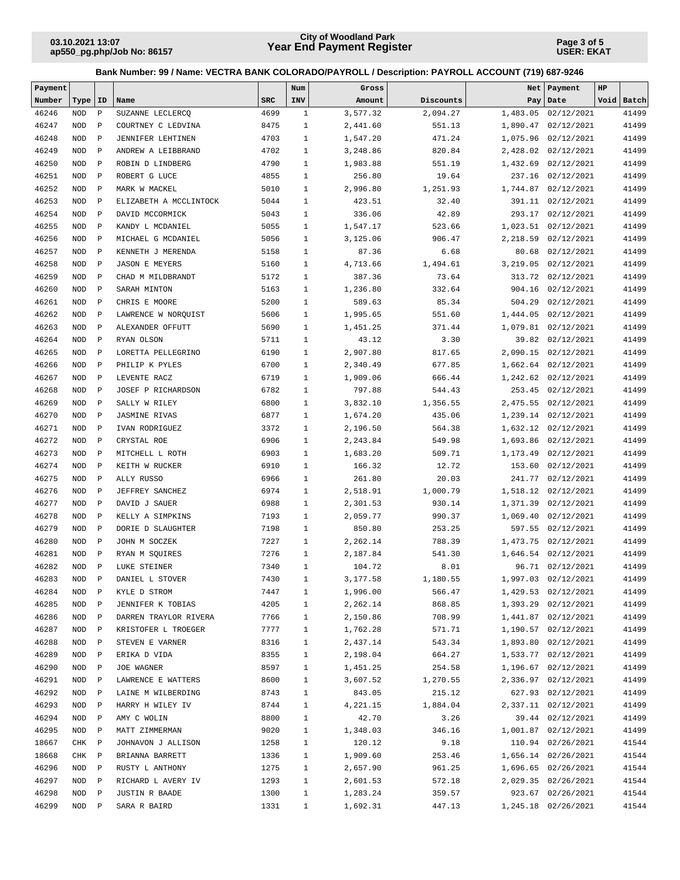**Page 3 of 5 USER: EKAT**

| Payment |            |              |                        |            | Num          | Gross    |           |          | Net   Payment       | HP |            |
|---------|------------|--------------|------------------------|------------|--------------|----------|-----------|----------|---------------------|----|------------|
| Number  | Type       | סב           | Name                   | <b>SRC</b> | INV          | Amount   | Discounts |          | Pay   Date          |    | Void Batch |
| 46246   | <b>NOD</b> | $\mathbf P$  | SUZANNE LECLERCQ       | 4699       | $\mathbf{1}$ | 3,577.32 | 2,094.27  |          | 1,483.05 02/12/2021 |    | 41499      |
| 46247   | <b>NOD</b> | $\mathbf{P}$ | COURTNEY C LEDVINA     | 8475       | $1\,$        | 2,441.60 | 551.13    | 1,890.47 | 02/12/2021          |    | 41499      |
| 46248   | <b>NOD</b> | $\mathbf P$  | JENNIFER LEHTINEN      | 4703       | $\mathbf{1}$ | 1,547.20 | 471.24    | 1,075.96 | 02/12/2021          |    | 41499      |
| 46249   | <b>NOD</b> | $\mathbf P$  | ANDREW A LEIBBRAND     | 4702       | $\mathbf{1}$ | 3,248.86 | 820.84    | 2,428.02 | 02/12/2021          |    | 41499      |
| 46250   | <b>NOD</b> | $\mathbf P$  | ROBIN D LINDBERG       | 4790       | $\mathbf{1}$ | 1,983.88 | 551.19    | 1,432.69 | 02/12/2021          |    | 41499      |
| 46251   | <b>NOD</b> | $\mathbf P$  | ROBERT G LUCE          | 4855       | $\mathbf{1}$ | 256.80   | 19.64     | 237.16   | 02/12/2021          |    | 41499      |
| 46252   | <b>NOD</b> | $\mathbf P$  | MARK W MACKEL          | 5010       | $\mathbf{1}$ | 2,996.80 | 1,251.93  | 1,744.87 | 02/12/2021          |    | 41499      |
| 46253   | <b>NOD</b> | $\mathbf P$  | ELIZABETH A MCCLINTOCK | 5044       | $\mathbf{1}$ | 423.51   | 32.40     |          | 391.11 02/12/2021   |    | 41499      |
| 46254   | <b>NOD</b> | $\mathbf P$  | DAVID MCCORMICK        | 5043       | $\mathbf{1}$ | 336.06   | 42.89     | 293.17   | 02/12/2021          |    | 41499      |
| 46255   | <b>NOD</b> | $\mathbf P$  | KANDY L MCDANIEL       | 5055       | $\mathbf{1}$ | 1,547.17 | 523.66    | 1,023.51 | 02/12/2021          |    | 41499      |
| 46256   | <b>NOD</b> | $\mathbf P$  | MICHAEL G MCDANIEL     | 5056       | $\mathbf{1}$ | 3,125.06 | 906.47    | 2,218.59 | 02/12/2021          |    | 41499      |
| 46257   | <b>NOD</b> | $\mathbf P$  | KENNETH J MERENDA      | 5158       | $\mathbf{1}$ | 87.36    | 6.68      | 80.68    | 02/12/2021          |    | 41499      |
| 46258   | <b>NOD</b> | $\mathbf{P}$ | <b>JASON E MEYERS</b>  | 5160       | $\mathbf{1}$ | 4,713.66 | 1,494.61  | 3,219.05 | 02/12/2021          |    | 41499      |
| 46259   | <b>NOD</b> | $\mathbf P$  | CHAD M MILDBRANDT      | 5172       | $\mathbf{1}$ | 387.36   | 73.64     | 313.72   | 02/12/2021          |    | 41499      |
| 46260   | <b>NOD</b> | $\mathbf P$  | SARAH MINTON           | 5163       | $\mathbf{1}$ | 1,236.80 | 332.64    | 904.16   | 02/12/2021          |    | 41499      |
| 46261   | <b>NOD</b> | $\, {\bf P}$ | CHRIS E MOORE          | 5200       | $\mathbf{1}$ | 589.63   | 85.34     | 504.29   | 02/12/2021          |    | 41499      |
| 46262   | <b>NOD</b> | $\mathbf P$  | LAWRENCE W NORQUIST    | 5606       | $\mathbf{1}$ | 1,995.65 | 551.60    | 1,444.05 | 02/12/2021          |    | 41499      |
| 46263   | <b>NOD</b> | $\mathbf{P}$ | ALEXANDER OFFUTT       | 5690       | $\mathbf{1}$ | 1,451.25 | 371.44    |          | 1,079.81 02/12/2021 |    | 41499      |
| 46264   | <b>NOD</b> | $\mathbf P$  | RYAN OLSON             | 5711       | $\mathbf{1}$ | 43.12    | 3.30      |          | 39.82 02/12/2021    |    | 41499      |
| 46265   | <b>NOD</b> | $\mathbf P$  | LORETTA PELLEGRINO     | 6190       | $\mathbf{1}$ | 2,907.80 | 817.65    | 2,090.15 | 02/12/2021          |    | 41499      |
| 46266   | <b>NOD</b> | $\mathbf P$  | PHILIP K PYLES         | 6700       | $\mathbf{1}$ | 2,340.49 | 677.85    |          | 1,662.64 02/12/2021 |    | 41499      |
| 46267   | <b>NOD</b> | $\mathbf P$  | LEVENTE RACZ           | 6719       | $\mathbf{1}$ | 1,909.06 | 666.44    |          | 1,242.62 02/12/2021 |    | 41499      |
| 46268   | <b>NOD</b> | $\mathbf P$  | JOSEF P RICHARDSON     | 6782       | $\mathbf{1}$ | 797.88   | 544.43    | 253.45   | 02/12/2021          |    | 41499      |
| 46269   | <b>NOD</b> | $\mathbf P$  | SALLY W RILEY          | 6800       | $\mathbf{1}$ | 3,832.10 | 1,356.55  |          | 2,475.55 02/12/2021 |    | 41499      |
| 46270   | <b>NOD</b> | $\mathbf P$  | <b>JASMINE RIVAS</b>   | 6877       | $\mathbf{1}$ | 1,674.20 | 435.06    |          | 1,239.14 02/12/2021 |    | 41499      |
| 46271   | <b>NOD</b> | $\mathbf P$  | IVAN RODRIGUEZ         | 3372       | $\mathbf{1}$ | 2,196.50 | 564.38    |          | 1,632.12 02/12/2021 |    | 41499      |
| 46272   | <b>NOD</b> | $\mathbf P$  | CRYSTAL ROE            | 6906       | $\mathbf{1}$ | 2,243.84 | 549.98    |          | 1,693.86 02/12/2021 |    | 41499      |
| 46273   | <b>NOD</b> | $\mathbf P$  | MITCHELL L ROTH        | 6903       | $\mathbf{1}$ | 1,683.20 | 509.71    | 1,173.49 | 02/12/2021          |    | 41499      |
| 46274   | <b>NOD</b> | $\mathbf{P}$ | KEITH W RUCKER         | 6910       | $\mathbf{1}$ | 166.32   | 12.72     | 153.60   | 02/12/2021          |    | 41499      |
| 46275   | <b>NOD</b> | $\mathbf P$  | ALLY RUSSO             | 6966       | $\mathbf{1}$ | 261.80   | 20.03     | 241.77   | 02/12/2021          |    | 41499      |
| 46276   | <b>NOD</b> | $\mathbf{P}$ | JEFFREY SANCHEZ        | 6974       | $\mathbf{1}$ | 2,518.91 | 1,000.79  | 1,518.12 | 02/12/2021          |    | 41499      |
| 46277   | <b>NOD</b> | $\mathbf P$  | DAVID J SAUER          | 6988       | $\mathbf{1}$ | 2,301.53 | 930.14    | 1,371.39 | 02/12/2021          |    | 41499      |
| 46278   | <b>NOD</b> | $\mathbf P$  | KELLY A SIMPKINS       | 7193       | $\mathbf{1}$ | 2,059.77 | 990.37    | 1,069.40 | 02/12/2021          |    | 41499      |
| 46279   | <b>NOD</b> | $\mathbf P$  | DORIE D SLAUGHTER      | 7198       | $\mathbf{1}$ | 850.80   | 253.25    | 597.55   | 02/12/2021          |    | 41499      |
| 46280   | <b>NOD</b> | $\mathbf P$  | JOHN M SOCZEK          | 7227       | $\mathbf{1}$ | 2,262.14 | 788.39    |          | 1,473.75 02/12/2021 |    | 41499      |
| 46281   | <b>NOD</b> | $\mathbf{P}$ | RYAN M SQUIRES         | 7276       | $\mathbf{1}$ | 2,187.84 | 541.30    |          | 1,646.54 02/12/2021 |    | 41499      |
| 46282   | <b>NOD</b> | $\mathbf P$  | LUKE STEINER           | 7340       | $\mathbf{1}$ | 104.72   | 8.01      |          | 96.71 02/12/2021    |    | 41499      |
| 46283   | NOD P      |              | DANIEL L STOVER        | 7430       | $\mathbf{1}$ | 3,177.58 | 1,180.55  |          | 1,997.03 02/12/2021 |    | 41499      |
| 46284   | NOD P      |              | KYLE D STROM           | 7447       | $\mathbf{1}$ | 1,996.00 | 566.47    |          | 1,429.53 02/12/2021 |    | 41499      |
| 46285   | NOD P      |              | JENNIFER K TOBIAS      | 4205       | $\mathbf{1}$ | 2,262.14 | 868.85    |          | 1,393.29 02/12/2021 |    | 41499      |
| 46286   | NOD        | $\mathbb{P}$ | DARREN TRAYLOR RIVERA  | 7766       | $\mathbf{1}$ | 2,150.86 | 708.99    |          | 1,441.87 02/12/2021 |    | 41499      |
| 46287   | NOD        | $\mathbb{P}$ | KRISTOFER L TROEGER    | 7777       | $\mathbf{1}$ | 1,762.28 | 571.71    |          | 1,190.57 02/12/2021 |    | 41499      |
| 46288   | NOD        | $\mathbb{P}$ | STEVEN E VARNER        | 8316       | 1            | 2,437.14 | 543.34    |          | 1,893.80 02/12/2021 |    | 41499      |
| 46289   | NOD        | $\mathbb{P}$ | ERIKA D VIDA           | 8355       | $\mathbf{1}$ | 2,198.04 | 664.27    |          | 1,533.77 02/12/2021 |    | 41499      |
| 46290   | NOD        | $\mathbb{P}$ | JOE WAGNER             | 8597       | $\mathbf{1}$ | 1,451.25 | 254.58    |          | 1,196.67 02/12/2021 |    | 41499      |
| 46291   | NOD        | $\mathbb{P}$ | LAWRENCE E WATTERS     | 8600       | $\mathbf{1}$ | 3,607.52 | 1,270.55  |          | 2,336.97 02/12/2021 |    | 41499      |
| 46292   | NOD        | $\mathbb{P}$ | LAINE M WILBERDING     | 8743       | $\mathbf{1}$ | 843.05   | 215.12    |          | 627.93 02/12/2021   |    | 41499      |
| 46293   | NOD        | $\mathbb{P}$ | HARRY H WILEY IV       | 8744       | $\mathbf{1}$ | 4,221.15 | 1,884.04  |          | 2,337.11 02/12/2021 |    | 41499      |
| 46294   | NOD        | $\mathbb{P}$ | AMY C WOLIN            | 8800       | $\mathbf{1}$ | 42.70    | 3.26      |          | 39.44 02/12/2021    |    | 41499      |
| 46295   | NOD P      |              | MATT ZIMMERMAN         | 9020       | $\mathbf{1}$ | 1,348.03 | 346.16    |          | 1,001.87 02/12/2021 |    | 41499      |
| 18667   | CHK        | $\mathbb{P}$ | JOHNAVON J ALLISON     | 1258       | $\mathbf{1}$ | 120.12   | 9.18      |          | 110.94 02/26/2021   |    | 41544      |
| 18668   | CHK P      |              | BRIANNA BARRETT        | 1336       | $\mathbf{1}$ | 1,909.60 | 253.46    |          | 1,656.14 02/26/2021 |    | 41544      |
| 46296   | NOD P      |              | RUSTY L ANTHONY        | 1275       | $\mathbf{1}$ | 2,657.90 | 961.25    |          | 1,696.65 02/26/2021 |    | 41544      |
| 46297   | NOD P      |              | RICHARD L AVERY IV     | 1293       | $\mathbf{1}$ | 2,601.53 | 572.18    |          | 2,029.35 02/26/2021 |    | 41544      |
| 46298   | NOD        | $\mathbb{P}$ | JUSTIN R BAADE         | 1300       | $\mathbf{1}$ | 1,283.24 | 359.57    |          | 923.67 02/26/2021   |    | 41544      |
| 46299   | NOD P      |              | SARA R BAIRD           | 1331       | $\mathbf{1}$ | 1,692.31 | 447.13    |          | 1,245.18 02/26/2021 |    | 41544      |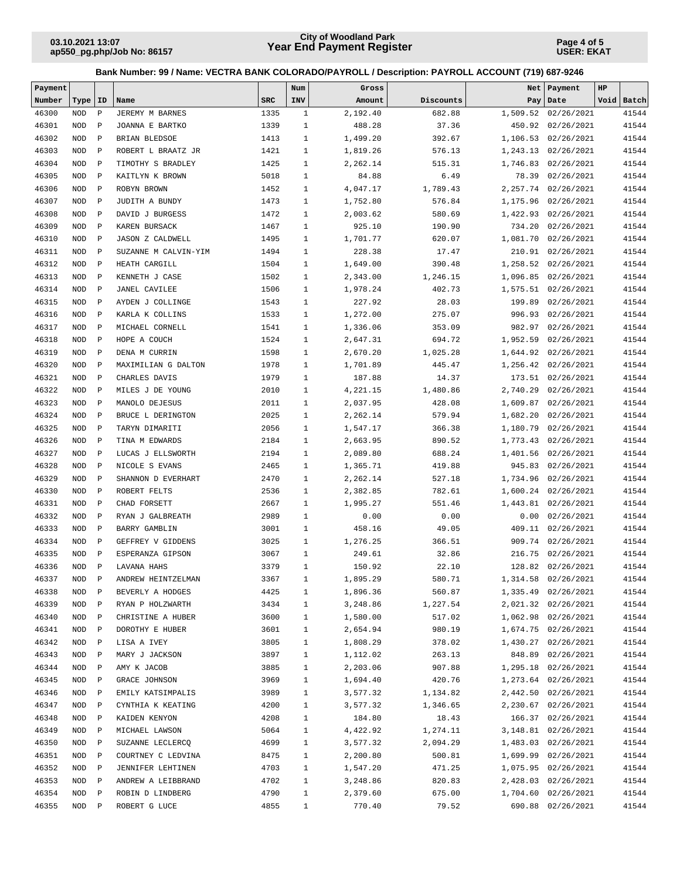**Page 4 of 5 USER: EKAT**

| Payment |            |              |                         |            | Num          | Gross    |           |          | Net   Payment        | HP |            |
|---------|------------|--------------|-------------------------|------------|--------------|----------|-----------|----------|----------------------|----|------------|
| Number  | Type       | ID           | Name                    | <b>SRC</b> | INV          | Amount   | Discounts |          | Pay   Date           |    | Void Batch |
| 46300   | <b>NOD</b> | $\, {\bf P}$ | JEREMY M BARNES         | 1335       | $\mathbf{1}$ | 2,192.40 | 682.88    |          | 1,509.52 02/26/2021  |    | 41544      |
| 46301   | <b>NOD</b> | $\mathbf{P}$ | JOANNA E BARTKO         | 1339       | $\mathbf{1}$ | 488.28   | 37.36     | 450.92   | 02/26/2021           |    | 41544      |
| 46302   | <b>NOD</b> | $\mathbf{P}$ | BRIAN BLEDSOE           | 1413       | $\mathbf{1}$ | 1,499.20 | 392.67    |          | 1,106.53 02/26/2021  |    | 41544      |
| 46303   | <b>NOD</b> | $\, {\bf P}$ | ROBERT L BRAATZ JR      | 1421       | $\mathbf{1}$ | 1,819.26 | 576.13    | 1,243.13 | 02/26/2021           |    | 41544      |
| 46304   | <b>NOD</b> | $\, {\bf P}$ | TIMOTHY S BRADLEY       | 1425       | $\mathbf{1}$ | 2,262.14 | 515.31    | 1,746.83 | 02/26/2021           |    | 41544      |
| 46305   | <b>NOD</b> | $\, {\bf P}$ | KAITLYN K BROWN         | 5018       | $\mathbf{1}$ | 84.88    | 6.49      |          | 78.39 02/26/2021     |    | 41544      |
| 46306   | <b>NOD</b> | $\, {\bf P}$ | ROBYN BROWN             | 1452       | $\mathbf{1}$ | 4,047.17 | 1,789.43  |          | 2, 257.74 02/26/2021 |    | 41544      |
| 46307   | <b>NOD</b> | $\, {\bf P}$ | JUDITH A BUNDY          | 1473       | $\mathbf{1}$ | 1,752.80 | 576.84    |          | 1,175.96 02/26/2021  |    | 41544      |
| 46308   | <b>NOD</b> | $\mathbf{P}$ | DAVID J BURGESS         | 1472       | $\mathbf{1}$ | 2,003.62 | 580.69    |          | 1,422.93 02/26/2021  |    | 41544      |
| 46309   | <b>NOD</b> | $\, {\bf P}$ | KAREN BURSACK           | 1467       | $\mathbf{1}$ | 925.10   | 190.90    | 734.20   | 02/26/2021           |    | 41544      |
| 46310   | <b>NOD</b> | $\mathbf{P}$ | <b>JASON Z CALDWELL</b> | 1495       | $\mathbf{1}$ | 1,701.77 | 620.07    | 1,081.70 | 02/26/2021           |    | 41544      |
| 46311   | <b>NOD</b> | $\, {\bf P}$ | SUZANNE M CALVIN-YIM    | 1494       | $\mathbf{1}$ | 228.38   | 17.47     |          | 210.91 02/26/2021    |    | 41544      |
| 46312   | <b>NOD</b> | $\, {\bf P}$ | HEATH CARGILL           | 1504       | $\mathbf{1}$ | 1,649.00 | 390.48    |          | 1,258.52 02/26/2021  |    | 41544      |
| 46313   | <b>NOD</b> | $\, {\bf P}$ | KENNETH J CASE          | 1502       | $\mathbf{1}$ | 2,343.00 | 1,246.15  | 1,096.85 | 02/26/2021           |    | 41544      |
| 46314   | <b>NOD</b> | $\, {\bf P}$ | JANEL CAVILEE           | 1506       | $\mathbf{1}$ | 1,978.24 | 402.73    |          | 1,575.51 02/26/2021  |    | 41544      |
| 46315   | <b>NOD</b> | $\, {\bf P}$ | AYDEN J COLLINGE        | 1543       | $\mathbf{1}$ | 227.92   | 28.03     | 199.89   | 02/26/2021           |    | 41544      |
| 46316   | <b>NOD</b> | $\, {\bf P}$ | KARLA K COLLINS         | 1533       | $\mathbf{1}$ | 1,272.00 | 275.07    | 996.93   | 02/26/2021           |    | 41544      |
| 46317   | <b>NOD</b> | $\, {\bf P}$ | MICHAEL CORNELL         | 1541       | $\mathbf{1}$ | 1,336.06 | 353.09    | 982.97   | 02/26/2021           |    | 41544      |
| 46318   | <b>NOD</b> | $\, {\bf P}$ | HOPE A COUCH            | 1524       | $\mathbf{1}$ | 2,647.31 | 694.72    | 1,952.59 | 02/26/2021           |    | 41544      |
| 46319   | <b>NOD</b> | $\, {\bf P}$ | DENA M CURRIN           | 1598       | $\mathbf{1}$ | 2,670.20 | 1,025.28  | 1,644.92 | 02/26/2021           |    | 41544      |
| 46320   | <b>NOD</b> | $\, {\bf P}$ | MAXIMILIAN G DALTON     | 1978       | $\mathbf{1}$ | 1,701.89 | 445.47    |          | 1,256.42 02/26/2021  |    | 41544      |
| 46321   | <b>NOD</b> | $\mathbf{P}$ | CHARLES DAVIS           | 1979       | $\mathbf{1}$ | 187.88   | 14.37     |          | 173.51 02/26/2021    |    | 41544      |
| 46322   | <b>NOD</b> | $\, {\bf P}$ | MILES J DE YOUNG        | 2010       | $\mathbf{1}$ | 4,221.15 | 1,480.86  | 2,740.29 | 02/26/2021           |    | 41544      |
| 46323   | <b>NOD</b> | $\, {\bf P}$ | MANOLO DEJESUS          | 2011       | $\mathbf{1}$ | 2,037.95 | 428.08    |          | 1,609.87 02/26/2021  |    | 41544      |
| 46324   | <b>NOD</b> | $\, {\bf P}$ | BRUCE L DERINGTON       | 2025       | $\mathbf{1}$ | 2,262.14 | 579.94    | 1,682.20 | 02/26/2021           |    | 41544      |
| 46325   | <b>NOD</b> | $\, {\bf P}$ | TARYN DIMARITI          | 2056       | $\mathbf{1}$ | 1,547.17 | 366.38    | 1,180.79 | 02/26/2021           |    | 41544      |
| 46326   | <b>NOD</b> | $\, {\bf P}$ | TINA M EDWARDS          | 2184       | $\mathbf{1}$ | 2,663.95 | 890.52    |          | 1,773.43 02/26/2021  |    | 41544      |
| 46327   | <b>NOD</b> | $\, {\bf P}$ | LUCAS J ELLSWORTH       | 2194       | $\mathbf{1}$ | 2,089.80 | 688.24    |          | 1,401.56 02/26/2021  |    | 41544      |
| 46328   | <b>NOD</b> | $\mathbf{P}$ | NICOLE S EVANS          | 2465       | $\mathbf{1}$ | 1,365.71 | 419.88    | 945.83   | 02/26/2021           |    | 41544      |
| 46329   | <b>NOD</b> | $\mathbf{P}$ | SHANNON D EVERHART      | 2470       | $\mathbf{1}$ | 2,262.14 | 527.18    | 1,734.96 | 02/26/2021           |    | 41544      |
| 46330   | <b>NOD</b> | $\mathbf{P}$ | ROBERT FELTS            | 2536       | $\mathbf{1}$ | 2,382.85 | 782.61    |          | 1,600.24 02/26/2021  |    | 41544      |
| 46331   | <b>NOD</b> | $\, {\bf P}$ | CHAD FORSETT            | 2667       | $\mathbf{1}$ | 1,995.27 | 551.46    |          | 1,443.81 02/26/2021  |    | 41544      |
| 46332   | <b>NOD</b> | $\,$ P       | RYAN J GALBREATH        | 2989       | $\mathbf{1}$ | 0.00     | 0.00      | 0.00     | 02/26/2021           |    | 41544      |
| 46333   | <b>NOD</b> | $\, {\bf P}$ | <b>BARRY GAMBLIN</b>    | 3001       | $\mathbf{1}$ | 458.16   | 49.05     | 409.11   | 02/26/2021           |    | 41544      |
| 46334   | <b>NOD</b> | $\,$ P       | GEFFREY V GIDDENS       | 3025       | $\mathbf{1}$ | 1,276.25 | 366.51    |          | 909.74 02/26/2021    |    | 41544      |
| 46335   | <b>NOD</b> | $\mathbf{P}$ | ESPERANZA GIPSON        | 3067       | $\mathbf{1}$ | 249.61   | 32.86     | 216.75   | 02/26/2021           |    | 41544      |
| 46336   | <b>NOD</b> | $\, {\bf P}$ | LAVANA HAHS             | 3379       | $\mathbf{1}$ | 150.92   | 22.10     |          | 128.82 02/26/2021    |    | 41544      |
| 46337   | NOD P      |              | ANDREW HEINTZELMAN      | 3367       | $\mathbf{1}$ | 1,895.29 | 580.71    |          | 1,314.58 02/26/2021  |    | 41544      |
| 46338   | NOD        | $\mathbb{P}$ | BEVERLY A HODGES        | 4425       | $\mathbf{1}$ | 1,896.36 | 560.87    |          | 1,335.49 02/26/2021  |    | 41544      |
| 46339   | NOD        | $\mathbb{P}$ | RYAN P HOLZWARTH        | 3434       | $\mathbf{1}$ | 3,248.86 | 1,227.54  |          | 2,021.32 02/26/2021  |    | 41544      |
| 46340   | NOD        | $\mathbb{P}$ | CHRISTINE A HUBER       | 3600       | $\mathbf{1}$ | 1,580.00 | 517.02    |          | 1,062.98 02/26/2021  |    | 41544      |
| 46341   | NOD        | $\mathbb{P}$ | DOROTHY E HUBER         | 3601       | 1            | 2,654.94 | 980.19    |          | 1,674.75 02/26/2021  |    | 41544      |
| 46342   | NOD        | $\mathbb{P}$ | LISA A IVEY             | 3805       | 1            | 1,808.29 | 378.02    |          | 1,430.27 02/26/2021  |    | 41544      |
| 46343   | NOD        | $\mathbb{P}$ | MARY J JACKSON          | 3897       | $\mathbf{1}$ | 1,112.02 | 263.13    |          | 848.89 02/26/2021    |    | 41544      |
| 46344   | NOD        | $\mathbb P$  | AMY K JACOB             | 3885       | $\mathbf{1}$ | 2,203.06 | 907.88    |          | 1,295.18 02/26/2021  |    | 41544      |
| 46345   | NOD        | $\, {\bf P}$ | GRACE JOHNSON           | 3969       | $\mathbf{1}$ | 1,694.40 | 420.76    |          | 1,273.64 02/26/2021  |    | 41544      |
| 46346   | NOD        | $\, {\bf P}$ | EMILY KATSIMPALIS       | 3989       | $\mathbf{1}$ | 3,577.32 | 1,134.82  |          | 2,442.50 02/26/2021  |    | 41544      |
| 46347   | NOD        | P            | CYNTHIA K KEATING       | 4200       | $\mathbf{1}$ | 3,577.32 | 1,346.65  |          | 2,230.67 02/26/2021  |    | 41544      |
| 46348   | NOD        | $\mathbb P$  | KAIDEN KENYON           | 4208       | $\mathbf{1}$ | 184.80   | 18.43     |          | 166.37 02/26/2021    |    | 41544      |
| 46349   | NOD        | $\mathbb{P}$ | MICHAEL LAWSON          | 5064       | $\mathbf{1}$ | 4,422.92 | 1,274.11  |          | 3, 148.81 02/26/2021 |    | 41544      |
| 46350   | NOD        | $\mathbb{P}$ | SUZANNE LECLERCQ        | 4699       | $\mathbf{1}$ | 3,577.32 | 2,094.29  |          | 1,483.03 02/26/2021  |    | 41544      |
| 46351   | NOD        | $\mathbb{P}$ | COURTNEY C LEDVINA      | 8475       | $\mathbf{1}$ | 2,200.80 | 500.81    |          | 1,699.99 02/26/2021  |    | 41544      |
| 46352   | NOD        | $\mathbb{P}$ | JENNIFER LEHTINEN       | 4703       | $\mathbf{1}$ | 1,547.20 | 471.25    |          | 1,075.95 02/26/2021  |    | 41544      |
| 46353   | NOD        | $\mathbb{P}$ | ANDREW A LEIBBRAND      | 4702       | $\mathbf{1}$ | 3,248.86 | 820.83    |          | 2,428.03 02/26/2021  |    | 41544      |
| 46354   | NOD        | $\, {\bf P}$ | ROBIN D LINDBERG        | 4790       | $\mathbf{1}$ | 2,379.60 | 675.00    |          | 1,704.60 02/26/2021  |    | 41544      |
| 46355   | $\rm NOD$  | $\mathbb{P}$ | ROBERT G LUCE           | 4855       | $\mathbf{1}$ | 770.40   | 79.52     |          | 690.88 02/26/2021    |    | 41544      |
|         |            |              |                         |            |              |          |           |          |                      |    |            |